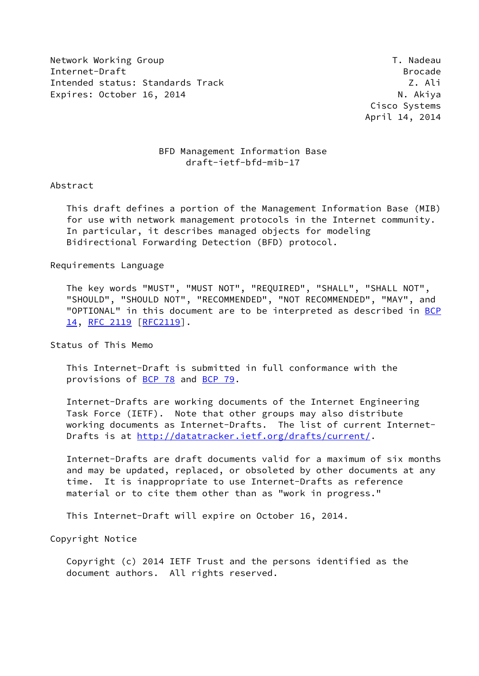Network Working Group T. Nadeau Network Alexander Management of the U.S. of the U.S. of the U.S. of the U.S. o Internet-Draft Brocade Intended status: Standards Track Z. Ali Expires: October 16, 2014 N. Akiya

 Cisco Systems April 14, 2014

# BFD Management Information Base draft-ietf-bfd-mib-17

# Abstract

 This draft defines a portion of the Management Information Base (MIB) for use with network management protocols in the Internet community. In particular, it describes managed objects for modeling Bidirectional Forwarding Detection (BFD) protocol.

# Requirements Language

 The key words "MUST", "MUST NOT", "REQUIRED", "SHALL", "SHALL NOT", "SHOULD", "SHOULD NOT", "RECOMMENDED", "NOT RECOMMENDED", "MAY", and "OPTIONAL" in this document are to be interpreted as described in [BCP](https://datatracker.ietf.org/doc/pdf/bcp14) [14](https://datatracker.ietf.org/doc/pdf/bcp14), [RFC 2119 \[RFC2119](https://datatracker.ietf.org/doc/pdf/rfc2119)].

Status of This Memo

 This Internet-Draft is submitted in full conformance with the provisions of [BCP 78](https://datatracker.ietf.org/doc/pdf/bcp78) and [BCP 79](https://datatracker.ietf.org/doc/pdf/bcp79).

 Internet-Drafts are working documents of the Internet Engineering Task Force (IETF). Note that other groups may also distribute working documents as Internet-Drafts. The list of current Internet Drafts is at<http://datatracker.ietf.org/drafts/current/>.

 Internet-Drafts are draft documents valid for a maximum of six months and may be updated, replaced, or obsoleted by other documents at any time. It is inappropriate to use Internet-Drafts as reference material or to cite them other than as "work in progress."

This Internet-Draft will expire on October 16, 2014.

Copyright Notice

 Copyright (c) 2014 IETF Trust and the persons identified as the document authors. All rights reserved.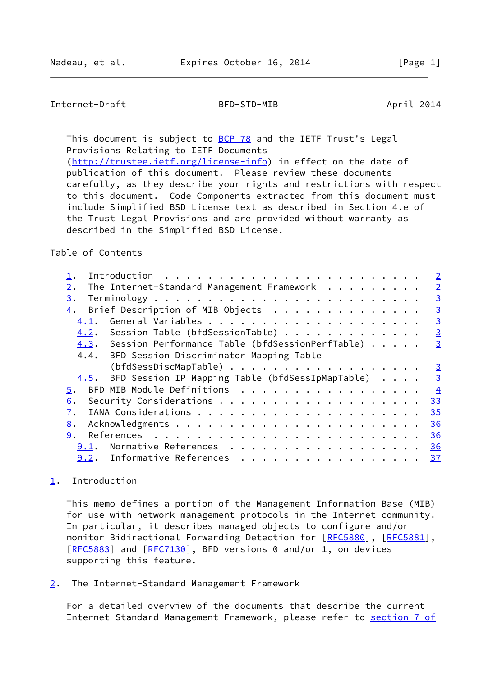# <span id="page-1-1"></span>Internet-Draft BFD-STD-MIB April 2014

This document is subject to [BCP 78](https://datatracker.ietf.org/doc/pdf/bcp78) and the IETF Trust's Legal Provisions Relating to IETF Documents [\(http://trustee.ietf.org/license-info](http://trustee.ietf.org/license-info)) in effect on the date of publication of this document. Please review these documents carefully, as they describe your rights and restrictions with respect

 to this document. Code Components extracted from this document must include Simplified BSD License text as described in Section 4.e of the Trust Legal Provisions and are provided without warranty as described in the Simplified BSD License.

### Table of Contents

|                                                          |  |  | $\overline{2}$ |
|----------------------------------------------------------|--|--|----------------|
| The Internet-Standard Management Framework<br>$2$ .      |  |  | $\overline{2}$ |
| 3.                                                       |  |  | $\overline{3}$ |
| Brief Description of MIB Objects<br>4.                   |  |  | $\overline{3}$ |
| 4.1.                                                     |  |  | $\overline{3}$ |
| 4.2. Session Table (bfdSessionTable)                     |  |  | $\overline{3}$ |
| 4.3. Session Performance Table (bfdSessionPerfTable)     |  |  | $\overline{3}$ |
| 4.4. BFD Session Discriminator Mapping Table             |  |  |                |
| (bfdSessDiscMapTable)                                    |  |  | $\overline{3}$ |
| BFD Session IP Mapping Table (bfdSessIpMapTable)<br>4.5. |  |  | $\overline{3}$ |
| BFD MIB Module Definitions<br>5.                         |  |  | $\overline{4}$ |
| 6.                                                       |  |  | 33             |
| 7.                                                       |  |  | 35             |
| 8.                                                       |  |  | 36             |
| 9.                                                       |  |  | 36             |
| Normative References<br>9.1.                             |  |  | 36             |
| 9.2. Informative References                              |  |  | 37             |

# <span id="page-1-0"></span>[1](#page-1-0). Introduction

 This memo defines a portion of the Management Information Base (MIB) for use with network management protocols in the Internet community. In particular, it describes managed objects to configure and/or monitor Bidirectional Forwarding Detection for [\[RFC5880](https://datatracker.ietf.org/doc/pdf/rfc5880)], [[RFC5881](https://datatracker.ietf.org/doc/pdf/rfc5881)], [\[RFC5883](https://datatracker.ietf.org/doc/pdf/rfc5883)] and [[RFC7130](https://datatracker.ietf.org/doc/pdf/rfc7130)], BFD versions 0 and/or 1, on devices supporting this feature.

<span id="page-1-2"></span>[2](#page-1-2). The Internet-Standard Management Framework

 For a detailed overview of the documents that describe the current Internet-Standard Management Framework, please refer to [section](https://datatracker.ietf.org/doc/pdf/rfc3410#section-7) 7 of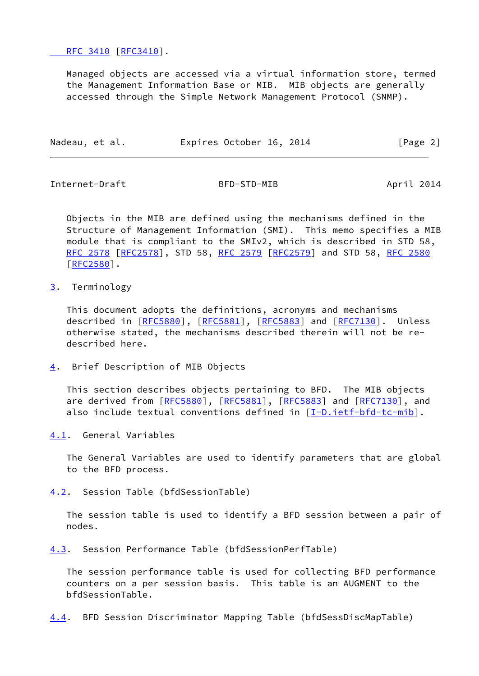[RFC 3410](https://datatracker.ietf.org/doc/pdf/rfc3410#section-7) [\[RFC3410](https://datatracker.ietf.org/doc/pdf/rfc3410)].

 Managed objects are accessed via a virtual information store, termed the Management Information Base or MIB. MIB objects are generally accessed through the Simple Network Management Protocol (SNMP).

| Nadeau, et al. | Expires October 16, 2014 | [Page 2] |
|----------------|--------------------------|----------|
|                |                          |          |

<span id="page-2-1"></span>Internet-Draft BFD-STD-MIB April 2014

 Objects in the MIB are defined using the mechanisms defined in the Structure of Management Information (SMI). This memo specifies a MIB module that is compliant to the SMIv2, which is described in STD 58, [RFC 2578](https://datatracker.ietf.org/doc/pdf/rfc2578) [\[RFC2578](https://datatracker.ietf.org/doc/pdf/rfc2578)], STD 58, [RFC 2579 \[RFC2579](https://datatracker.ietf.org/doc/pdf/rfc2579)] and STD 58, [RFC 2580](https://datatracker.ietf.org/doc/pdf/rfc2580) [\[RFC2580](https://datatracker.ietf.org/doc/pdf/rfc2580)].

<span id="page-2-0"></span>[3](#page-2-0). Terminology

 This document adopts the definitions, acronyms and mechanisms described in [\[RFC5880](https://datatracker.ietf.org/doc/pdf/rfc5880)], [\[RFC5881](https://datatracker.ietf.org/doc/pdf/rfc5881)], [[RFC5883\]](https://datatracker.ietf.org/doc/pdf/rfc5883) and [\[RFC7130](https://datatracker.ietf.org/doc/pdf/rfc7130)]. Unless otherwise stated, the mechanisms described therein will not be re described here.

<span id="page-2-2"></span>[4](#page-2-2). Brief Description of MIB Objects

 This section describes objects pertaining to BFD. The MIB objects are derived from [\[RFC5880](https://datatracker.ietf.org/doc/pdf/rfc5880)], [\[RFC5881](https://datatracker.ietf.org/doc/pdf/rfc5881)], [\[RFC5883](https://datatracker.ietf.org/doc/pdf/rfc5883)] and [\[RFC7130](https://datatracker.ietf.org/doc/pdf/rfc7130)], and also include textual conventions defined in [\[I-D.ietf-bfd-tc-mib](#page-40-3)].

<span id="page-2-3"></span>[4.1](#page-2-3). General Variables

 The General Variables are used to identify parameters that are global to the BFD process.

<span id="page-2-4"></span>[4.2](#page-2-4). Session Table (bfdSessionTable)

 The session table is used to identify a BFD session between a pair of nodes.

<span id="page-2-5"></span>[4.3](#page-2-5). Session Performance Table (bfdSessionPerfTable)

 The session performance table is used for collecting BFD performance counters on a per session basis. This table is an AUGMENT to the bfdSessionTable.

<span id="page-2-6"></span>[4.4](#page-2-6). BFD Session Discriminator Mapping Table (bfdSessDiscMapTable)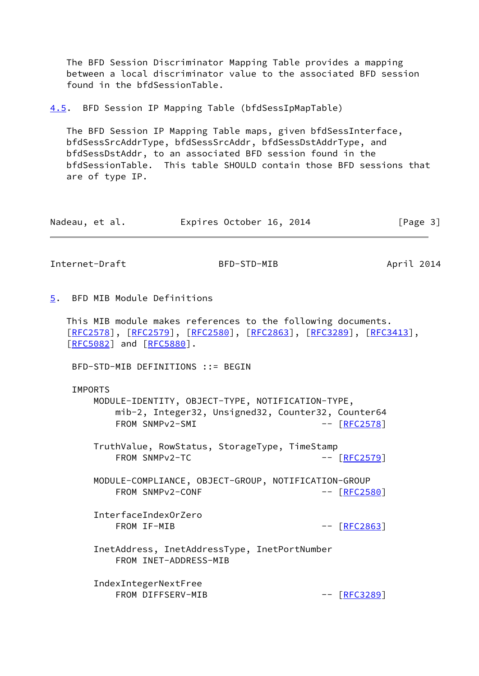The BFD Session Discriminator Mapping Table provides a mapping between a local discriminator value to the associated BFD session found in the bfdSessionTable.

<span id="page-3-0"></span>[4.5](#page-3-0). BFD Session IP Mapping Table (bfdSessIpMapTable)

 The BFD Session IP Mapping Table maps, given bfdSessInterface, bfdSessSrcAddrType, bfdSessSrcAddr, bfdSessDstAddrType, and bfdSessDstAddr, to an associated BFD session found in the bfdSessionTable. This table SHOULD contain those BFD sessions that are of type IP.

| Expires October 16, 2014<br>Nadeau, et al. | [Page 3] |
|--------------------------------------------|----------|
|--------------------------------------------|----------|

<span id="page-3-2"></span>Internet-Draft BFD-STD-MIB April 2014

<span id="page-3-1"></span>[5](#page-3-1). BFD MIB Module Definitions

 This MIB module makes references to the following documents. [\[RFC2578](https://datatracker.ietf.org/doc/pdf/rfc2578)], [[RFC2579\]](https://datatracker.ietf.org/doc/pdf/rfc2579), [[RFC2580](https://datatracker.ietf.org/doc/pdf/rfc2580)], [\[RFC2863](https://datatracker.ietf.org/doc/pdf/rfc2863)], [\[RFC3289](https://datatracker.ietf.org/doc/pdf/rfc3289)], [\[RFC3413](https://datatracker.ietf.org/doc/pdf/rfc3413)], [\[RFC5082](https://datatracker.ietf.org/doc/pdf/rfc5082)] and [[RFC5880](https://datatracker.ietf.org/doc/pdf/rfc5880)].

BFD-STD-MIB DEFINITIONS ::= BEGIN

IMPORTS

 MODULE-IDENTITY, OBJECT-TYPE, NOTIFICATION-TYPE, mib-2, Integer32, Unsigned32, Counter32, Counter64 FROM SNMPv2-SMI -- [[RFC2578](https://datatracker.ietf.org/doc/pdf/rfc2578)]

 TruthValue, RowStatus, StorageType, TimeStamp FROM SNMPv2-TC -- [[RFC2579](https://datatracker.ietf.org/doc/pdf/rfc2579)]

 MODULE-COMPLIANCE, OBJECT-GROUP, NOTIFICATION-GROUP FROM SNMPv2-CONF -- [[RFC2580](https://datatracker.ietf.org/doc/pdf/rfc2580)]

 InterfaceIndexOrZero FROM IF-MIB -- [[RFC2863](https://datatracker.ietf.org/doc/pdf/rfc2863)]

 InetAddress, InetAddressType, InetPortNumber FROM INET-ADDRESS-MIB

 IndexIntegerNextFree FROM DIFFSERV-MIB -- [[RFC3289](https://datatracker.ietf.org/doc/pdf/rfc3289)]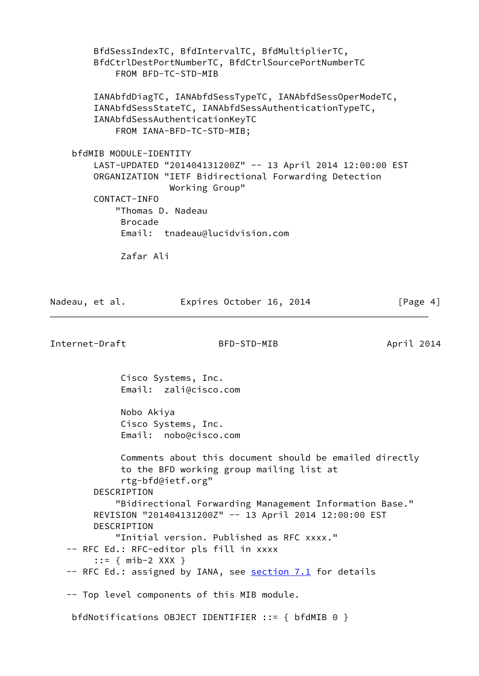BfdSessIndexTC, BfdIntervalTC, BfdMultiplierTC, BfdCtrlDestPortNumberTC, BfdCtrlSourcePortNumberTC FROM BFD-TC-STD-MIB IANAbfdDiagTC, IANAbfdSessTypeTC, IANAbfdSessOperModeTC, IANAbfdSessStateTC, IANAbfdSessAuthenticationTypeTC, IANAbfdSessAuthenticationKeyTC FROM IANA-BFD-TC-STD-MIB; bfdMIB MODULE-IDENTITY LAST-UPDATED "201404131200Z" -- 13 April 2014 12:00:00 EST ORGANIZATION "IETF Bidirectional Forwarding Detection Working Group" CONTACT-INFO "Thomas D. Nadeau Brocade Email: tnadeau@lucidvision.com Zafar Ali

| Nadeau, et al.             | Expires October 16, 2014                                                                                                                                                                                                                                                                   | [Page 4]   |
|----------------------------|--------------------------------------------------------------------------------------------------------------------------------------------------------------------------------------------------------------------------------------------------------------------------------------------|------------|
| Internet-Draft             | BFD-STD-MIB                                                                                                                                                                                                                                                                                | April 2014 |
|                            | Cisco Systems, Inc.<br>Email: zali@cisco.com                                                                                                                                                                                                                                               |            |
|                            | Nobo Akiya<br>Cisco Systems, Inc.<br>Email: nobo@cisco.com                                                                                                                                                                                                                                 |            |
| DESCRIPTION<br>DESCRIPTION | Comments about this document should be emailed directly<br>to the BFD working group mailing list at<br>rtg-bfd@ietf.org"<br>"Bidirectional Forwarding Management Information Base."<br>REVISION "201404131200Z" -- 13 April 2014 12:00:00 EST<br>"Initial version. Published as RFC xxxx." |            |
|                            | -- RFC Ed.: RFC-editor pls fill in xxxx<br>::= $\{ \text{mib-2} XXX \}$<br>-- RFC Ed.: assigned by IANA, see <b>section 7.1</b> for details                                                                                                                                                |            |
|                            | -- Top level components of this MIB module.<br>bfdNotifications OBJECT IDENTIFIER ::= { bfdMIB 0 }                                                                                                                                                                                         |            |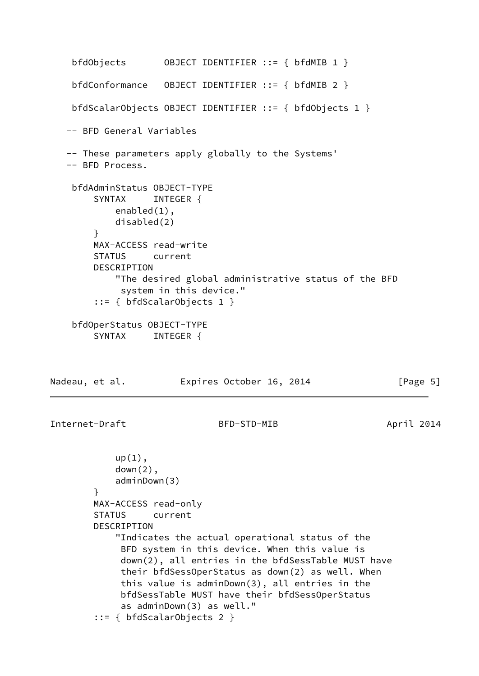```
 bfdObjects OBJECT IDENTIFIER ::= { bfdMIB 1 }
    bfdConformance OBJECT IDENTIFIER ::= { bfdMIB 2 }
    bfdScalarObjects OBJECT IDENTIFIER ::= { bfdObjects 1 }
    -- BFD General Variables
   -- These parameters apply globally to the Systems'
   -- BFD Process.
    bfdAdminStatus OBJECT-TYPE
        SYNTAX INTEGER {
            enabled(1),
            disabled(2)
        }
        MAX-ACCESS read-write
        STATUS current
        DESCRIPTION
            "The desired global administrative status of the BFD
             system in this device."
        ::= { bfdScalarObjects 1 }
    bfdOperStatus OBJECT-TYPE
        SYNTAX INTEGER {
Nadeau, et al. Expires October 16, 2014 [Page 5]
Internet-Draft BFD-STD-MIB April 2014
           up(1),
            down(2),
            adminDown(3)
        }
        MAX-ACCESS read-only
        STATUS current
        DESCRIPTION
            "Indicates the actual operational status of the
             BFD system in this device. When this value is
             down(2), all entries in the bfdSessTable MUST have
             their bfdSessOperStatus as down(2) as well. When
             this value is adminDown(3), all entries in the
             bfdSessTable MUST have their bfdSessOperStatus
             as adminDown(3) as well."
        ::= { bfdScalarObjects 2 }
```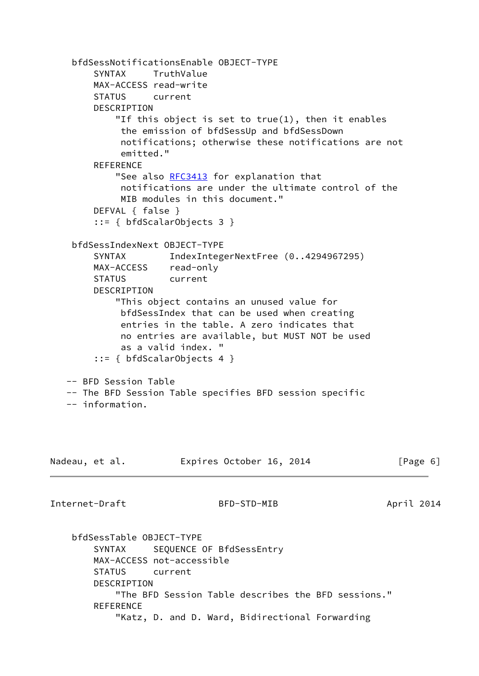```
 bfdSessNotificationsEnable OBJECT-TYPE
        SYNTAX TruthValue
        MAX-ACCESS read-write
        STATUS current
        DESCRIPTION
            "If this object is set to true(1), then it enables
             the emission of bfdSessUp and bfdSessDown
             notifications; otherwise these notifications are not
             emitted."
        REFERENCE
           RFC3413 for explanation that
             notifications are under the ultimate control of the
             MIB modules in this document."
        DEFVAL { false }
         ::= { bfdScalarObjects 3 }
     bfdSessIndexNext OBJECT-TYPE
       SYNTAX IndexIntegerNextFree (0..4294967295)
        MAX-ACCESS read-only
        STATUS current
        DESCRIPTION
            "This object contains an unused value for
             bfdSessIndex that can be used when creating
             entries in the table. A zero indicates that
             no entries are available, but MUST NOT be used
             as a valid index. "
         ::= { bfdScalarObjects 4 }
   -- BFD Session Table
   -- The BFD Session Table specifies BFD session specific
   -- information.
Nadeau, et al.             Expires October 16, 2014               [Page 6]
Internet-Draft BFD-STD-MIB April 2014
    bfdSessTable OBJECT-TYPE
       SYNTAX SEQUENCE OF BfdSessEntry
        MAX-ACCESS not-accessible
        STATUS current
        DESCRIPTION
            "The BFD Session Table describes the BFD sessions."
```

```
 REFERENCE
```
"Katz, D. and D. Ward, Bidirectional Forwarding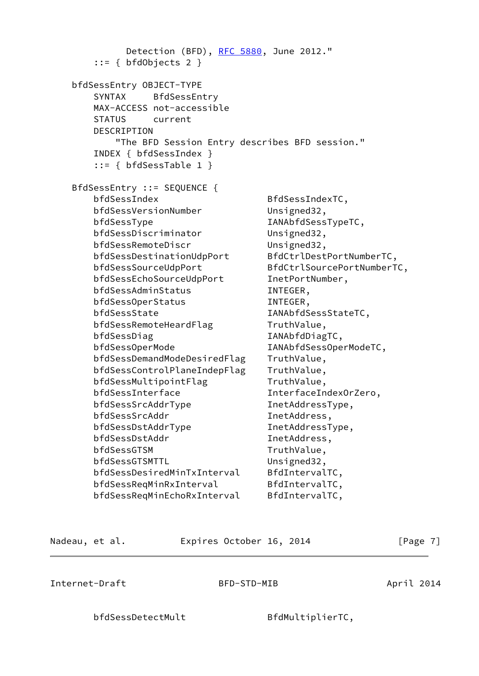Detection (BFD), [RFC 5880,](https://datatracker.ietf.org/doc/pdf/rfc5880) June 2012."  $::= {$  bfdObjects 2 } bfdSessEntry OBJECT-TYPE SYNTAX BfdSessEntry MAX-ACCESS not-accessible STATUS current DESCRIPTION "The BFD Session Entry describes BFD session." INDEX { bfdSessIndex } ::= { bfdSessTable 1 } BfdSessEntry ::= SEQUENCE { bfdSessIndex BfdSessIndexTC, bfdSessVersionNumber Unsigned32, bfdSessType IANAbfdSessTypeTC, bfdSessDiscriminator Unsigned32, bfdSessRemoteDiscr Unsigned32, bfdSessDestinationUdpPort BfdCtrlDestPortNumberTC, bfdSessSourceUdpPort BfdCtrlSourcePortNumberTC, bfdSessEchoSourceUdpPort InetPortNumber, bfdSessAdminStatus INTEGER, bfdSessOperStatus INTEGER, bfdSessState IANAbfdSessStateTC, bfdSessRemoteHeardFlag TruthValue, bfdSessDiag IANAbfdDiagTC, bfdSessOperMode IANAbfdSessOperModeTC, bfdSessDemandModeDesiredFlag TruthValue, bfdSessControlPlaneIndepFlag TruthValue, bfdSessMultipointFlag TruthValue, bfdSessInterface InterfaceIndexOrZero, bfdSessSrcAddrType InetAddressType, bfdSessSrcAddr InetAddress, bfdSessDstAddrType InetAddressType, bfdSessDstAddr InetAddress, bfdSessGTSM TruthValue, bfdSessGTSMTTL Unsigned32, bfdSessDesiredMinTxInterval BfdIntervalTC, bfdSessReqMinRxInterval BfdIntervalTC, bfdSessReqMinEchoRxInterval BfdIntervalTC,

Nadeau, et al. **Expires October 16, 2014** [Page 7]

Internet-Draft BFD-STD-MIB April 2014

bfdSessDetectMult BfdMultiplierTC,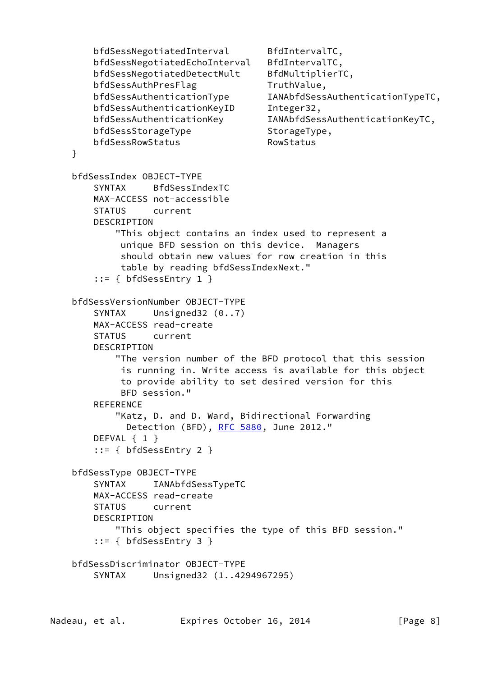bfdSessNegotiatedInterval BfdIntervalTC, bfdSessNegotiatedEchoInterval BfdIntervalTC, bfdSessNegotiatedDetectMult BfdMultiplierTC, bfdSessAuthPresFlag TruthValue, bfdSessAuthenticationType IANAbfdSessAuthenticationTypeTC, bfdSessAuthenticationKeyID Integer32, bfdSessAuthenticationKey IANAbfdSessAuthenticationKeyTC, bfdSessStorageType StorageType, bfdSessRowStatus RowStatus } bfdSessIndex OBJECT-TYPE SYNTAX BfdSessIndexTC MAX-ACCESS not-accessible STATUS current DESCRIPTION "This object contains an index used to represent a unique BFD session on this device. Managers should obtain new values for row creation in this table by reading bfdSessIndexNext." ::= { bfdSessEntry 1 } bfdSessVersionNumber OBJECT-TYPE SYNTAX Unsigned32 (0..7) MAX-ACCESS read-create STATUS current DESCRIPTION "The version number of the BFD protocol that this session is running in. Write access is available for this object to provide ability to set desired version for this BFD session." REFERENCE "Katz, D. and D. Ward, Bidirectional Forwarding Detection (BFD), [RFC 5880,](https://datatracker.ietf.org/doc/pdf/rfc5880) June 2012." DEFVAL { 1 } ::= { bfdSessEntry 2 } bfdSessType OBJECT-TYPE SYNTAX IANAbfdSessTypeTC MAX-ACCESS read-create STATUS current DESCRIPTION "This object specifies the type of this BFD session." ::= { bfdSessEntry 3 } bfdSessDiscriminator OBJECT-TYPE SYNTAX Unsigned32 (1..4294967295)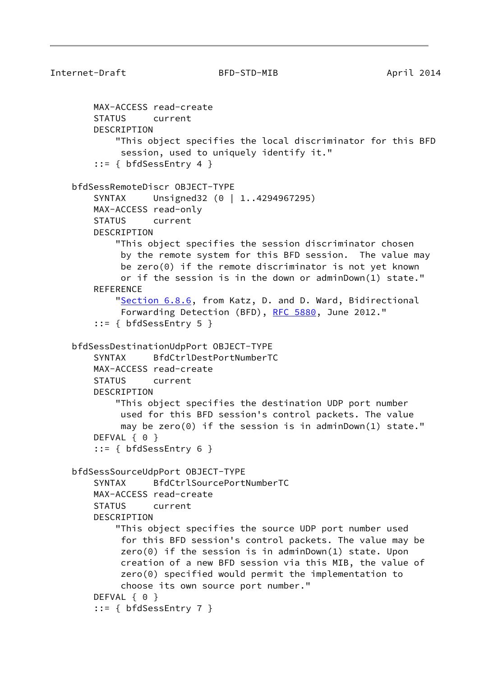```
Internet-Draft BFD-STD-MIB April 2014
        MAX-ACCESS read-create
        STATUS current
        DESCRIPTION
            "This object specifies the local discriminator for this BFD
             session, used to uniquely identify it."
         ::= { bfdSessEntry 4 }
    bfdSessRemoteDiscr OBJECT-TYPE
       SYNTAX Unsigned32 (0 | 1..4294967295)
        MAX-ACCESS read-only
        STATUS current
        DESCRIPTION
            "This object specifies the session discriminator chosen
             by the remote system for this BFD session. The value may
             be zero(0) if the remote discriminator is not yet known
             or if the session is in the down or adminDown(1) state."
       REFERENCE
            "Section 6.8.6, from Katz, D. and D. Ward, Bidirectional
             RFC 5880, June 2012."
         ::= { bfdSessEntry 5 }
     bfdSessDestinationUdpPort OBJECT-TYPE
        SYNTAX BfdCtrlDestPortNumberTC
        MAX-ACCESS read-create
        STATUS current
        DESCRIPTION
            "This object specifies the destination UDP port number
             used for this BFD session's control packets. The value
            may be zero(0) if the session is in adminDown(1) state."
       DEFVAL { 0 }
         ::= { bfdSessEntry 6 }
     bfdSessSourceUdpPort OBJECT-TYPE
        SYNTAX BfdCtrlSourcePortNumberTC
        MAX-ACCESS read-create
        STATUS current
        DESCRIPTION
            "This object specifies the source UDP port number used
             for this BFD session's control packets. The value may be
             zero(0) if the session is in adminDown(1) state. Upon
             creation of a new BFD session via this MIB, the value of
             zero(0) specified would permit the implementation to
             choose its own source port number."
       DEFVAL { 0 }
         ::= { bfdSessEntry 7 }
```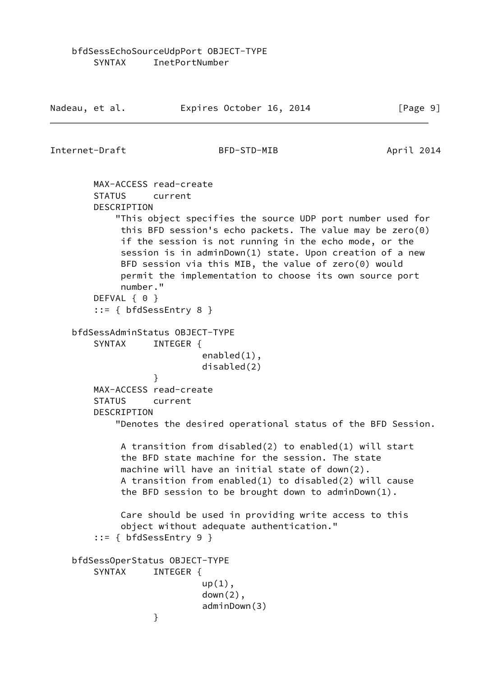Internet-Draft BFD-STD-MIB April 2014 MAX-ACCESS read-create STATUS current DESCRIPTION "This object specifies the source UDP port number used for this BFD session's echo packets. The value may be zero(0) if the session is not running in the echo mode, or the session is in adminDown(1) state. Upon creation of a new BFD session via this MIB, the value of zero(0) would permit the implementation to choose its own source port number." DEFVAL { 0 } ::= { bfdSessEntry 8 } bfdSessAdminStatus OBJECT-TYPE SYNTAX INTEGER { enabled(1), disabled(2) } MAX-ACCESS read-create STATUS current DESCRIPTION "Denotes the desired operational status of the BFD Session. A transition from disabled(2) to enabled(1) will start the BFD state machine for the session. The state machine will have an initial state of down(2). A transition from enabled(1) to disabled(2) will cause the BFD session to be brought down to adminDown(1). Care should be used in providing write access to this object without adequate authentication." ::= { bfdSessEntry 9 } bfdSessOperStatus OBJECT-TYPE SYNTAX INTEGER {  $up(1)$ ,  $down(2)$ , adminDown(3) }

Nadeau, et al. **Expires October 16, 2014** [Page 9]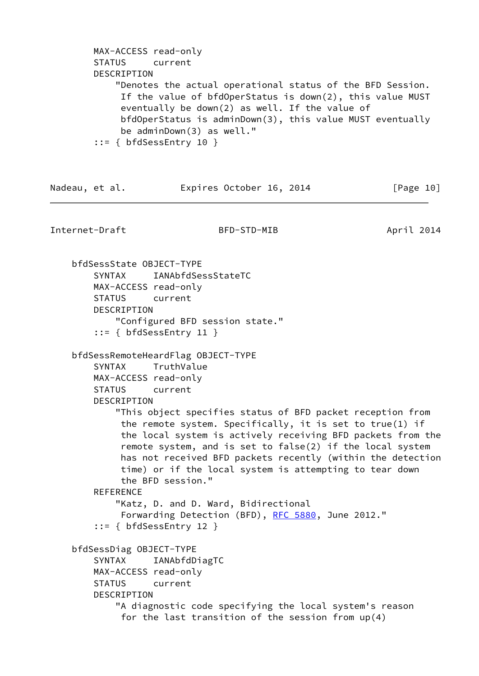```
 MAX-ACCESS read-only
 STATUS current
 DESCRIPTION
     "Denotes the actual operational status of the BFD Session.
      If the value of bfdOperStatus is down(2), this value MUST
      eventually be down(2) as well. If the value of
      bfdOperStatus is adminDown(3), this value MUST eventually
      be adminDown(3) as well."
 ::= { bfdSessEntry 10 }
```

| Nadeau, et al. | Expires October 16, 2014 |  | [Page 10] |
|----------------|--------------------------|--|-----------|
|                |                          |  |           |

Internet-Draft BFD-STD-MIB April 2014

 bfdSessState OBJECT-TYPE SYNTAX IANAbfdSessStateTC MAX-ACCESS read-only STATUS current **DESCRIPTION**  "Configured BFD session state." ::= { bfdSessEntry 11 } bfdSessRemoteHeardFlag OBJECT-TYPE SYNTAX TruthValue MAX-ACCESS read-only STATUS current DESCRIPTION "This object specifies status of BFD packet reception from the remote system. Specifically, it is set to true(1) if the local system is actively receiving BFD packets from the remote system, and is set to false(2) if the local system has not received BFD packets recently (within the detection time) or if the local system is attempting to tear down the BFD session." **REFERENCE**  "Katz, D. and D. Ward, Bidirectional Forwarding Detection (BFD), [RFC 5880](https://datatracker.ietf.org/doc/pdf/rfc5880), June 2012." ::= { bfdSessEntry 12 } bfdSessDiag OBJECT-TYPE SYNTAX IANAbfdDiagTC MAX-ACCESS read-only STATUS current DESCRIPTION "A diagnostic code specifying the local system's reason for the last transition of the session from up(4)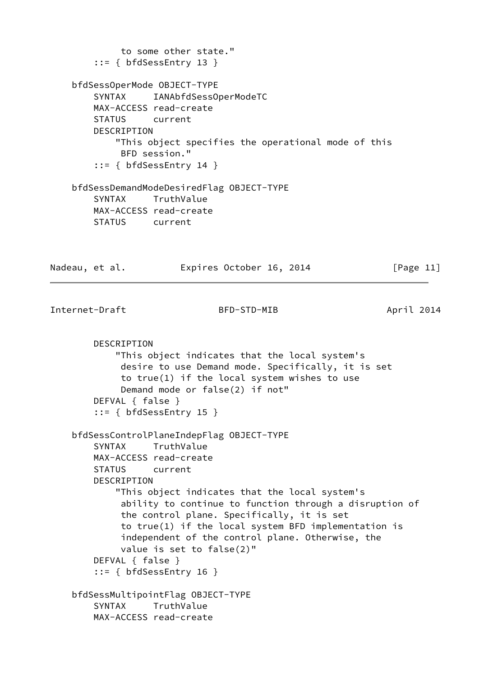```
 to some other state."
        ::= { bfdSessEntry 13 }
     bfdSessOperMode OBJECT-TYPE
        SYNTAX IANAbfdSessOperModeTC
        MAX-ACCESS read-create
        STATUS current
        DESCRIPTION
            "This object specifies the operational mode of this
             BFD session."
         ::= { bfdSessEntry 14 }
    bfdSessDemandModeDesiredFlag OBJECT-TYPE
        SYNTAX TruthValue
        MAX-ACCESS read-create
        STATUS current
Nadeau, et al. Expires October 16, 2014 [Page 11]
Internet-Draft BFD-STD-MIB April 2014
        DESCRIPTION
            "This object indicates that the local system's
             desire to use Demand mode. Specifically, it is set
             to true(1) if the local system wishes to use
             Demand mode or false(2) if not"
        DEFVAL { false }
         ::= { bfdSessEntry 15 }
     bfdSessControlPlaneIndepFlag OBJECT-TYPE
        SYNTAX TruthValue
        MAX-ACCESS read-create
        STATUS current
        DESCRIPTION
            "This object indicates that the local system's
             ability to continue to function through a disruption of
             the control plane. Specifically, it is set
             to true(1) if the local system BFD implementation is
             independent of the control plane. Otherwise, the
             value is set to false(2)"
        DEFVAL { false }
         ::= { bfdSessEntry 16 }
    bfdSessMultipointFlag OBJECT-TYPE
        SYNTAX TruthValue
        MAX-ACCESS read-create
```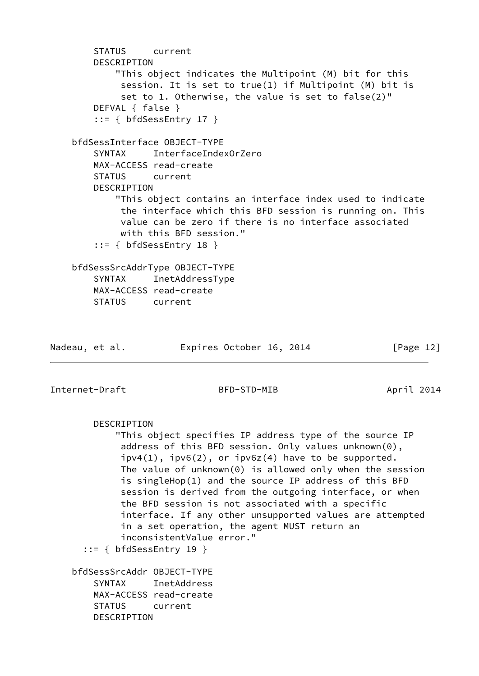STATUS current DESCRIPTION "This object indicates the Multipoint (M) bit for this session. It is set to true(1) if Multipoint (M) bit is set to 1. Otherwise, the value is set to false(2)" DEFVAL { false } ::= { bfdSessEntry 17 } bfdSessInterface OBJECT-TYPE SYNTAX InterfaceIndexOrZero MAX-ACCESS read-create STATUS current DESCRIPTION "This object contains an interface index used to indicate the interface which this BFD session is running on. This value can be zero if there is no interface associated with this BFD session." ::= { bfdSessEntry 18 } bfdSessSrcAddrType OBJECT-TYPE SYNTAX InetAddressType MAX-ACCESS read-create STATUS current Nadeau, et al. Expires October 16, 2014 [Page 12]

Internet-Draft BFD-STD-MIB April 2014

DESCRIPTION

 "This object specifies IP address type of the source IP address of this BFD session. Only values unknown(0),  $ipv4(1)$ ,  $ipv6(2)$ , or  $ipv6z(4)$  have to be supported. The value of unknown(0) is allowed only when the session is singleHop(1) and the source IP address of this BFD session is derived from the outgoing interface, or when the BFD session is not associated with a specific interface. If any other unsupported values are attempted in a set operation, the agent MUST return an inconsistentValue error."

 $::=$  { bfdSessEntry 19 }

 bfdSessSrcAddr OBJECT-TYPE SYNTAX InetAddress MAX-ACCESS read-create STATUS current DESCRIPTION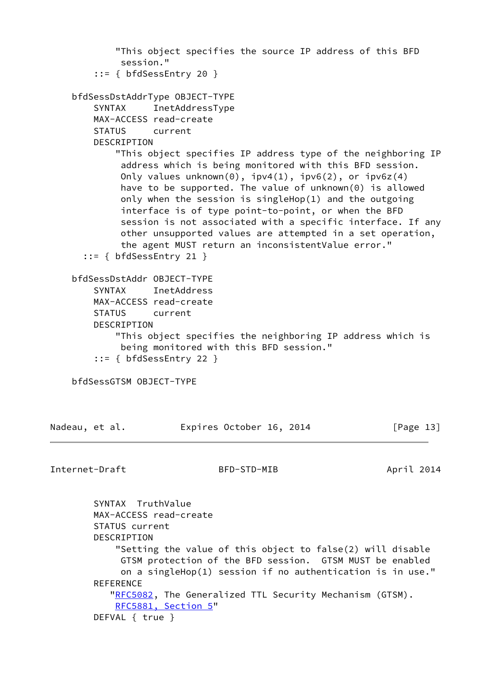"This object specifies the source IP address of this BFD session." ::= { bfdSessEntry 20 } bfdSessDstAddrType OBJECT-TYPE SYNTAX InetAddressType MAX-ACCESS read-create STATUS current DESCRIPTION "This object specifies IP address type of the neighboring IP address which is being monitored with this BFD session. Only values unknown $(0)$ , ipv4 $(1)$ , ipv6 $(2)$ , or ipv6z $(4)$  have to be supported. The value of unknown(0) is allowed only when the session is singleHop(1) and the outgoing interface is of type point-to-point, or when the BFD session is not associated with a specific interface. If any other unsupported values are attempted in a set operation, the agent MUST return an inconsistentValue error." ::= { bfdSessEntry 21 } bfdSessDstAddr OBJECT-TYPE SYNTAX InetAddress MAX-ACCESS read-create STATUS current DESCRIPTION "This object specifies the neighboring IP address which is being monitored with this BFD session." ::= { bfdSessEntry 22 } bfdSessGTSM OBJECT-TYPE Nadeau, et al. **Expires October 16, 2014** [Page 13] Internet-Draft BFD-STD-MIB April 2014 SYNTAX TruthValue MAX-ACCESS read-create STATUS current DESCRIPTION "Setting the value of this object to false(2) will disable GTSM protection of the BFD session. GTSM MUST be enabled on a singleHop(1) session if no authentication is in use." **REFERENCE** ["RFC5082](https://datatracker.ietf.org/doc/pdf/rfc5082), The Generalized TTL Security Mechanism (GTSM). [RFC5881, Section](https://datatracker.ietf.org/doc/pdf/rfc5881#section-5) 5"

DEFVAL { true }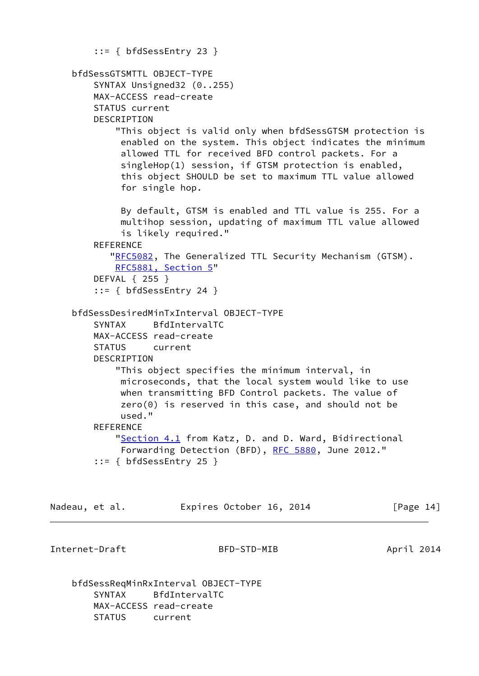```
 ::= { bfdSessEntry 23 }
 bfdSessGTSMTTL OBJECT-TYPE
     SYNTAX Unsigned32 (0..255)
     MAX-ACCESS read-create
     STATUS current
     DESCRIPTION
         "This object is valid only when bfdSessGTSM protection is
          enabled on the system. This object indicates the minimum
          allowed TTL for received BFD control packets. For a
          singleHop(1) session, if GTSM protection is enabled,
          this object SHOULD be set to maximum TTL value allowed
          for single hop.
          By default, GTSM is enabled and TTL value is 255. For a
          multihop session, updating of maximum TTL value allowed
          is likely required."
    REFERENCE
        "RFC5082, The Generalized TTL Security Mechanism (GTSM).
         RFC5881, Section 5"
     DEFVAL { 255 }
     ::= { bfdSessEntry 24 }
 bfdSessDesiredMinTxInterval OBJECT-TYPE
     SYNTAX BfdIntervalTC
     MAX-ACCESS read-create
     STATUS current
     DESCRIPTION
         "This object specifies the minimum interval, in
          microseconds, that the local system would like to use
          when transmitting BFD Control packets. The value of
          zero(0) is reserved in this case, and should not be
          used."
    REFERENCE
         "Section 4.1 from Katz, D. and D. Ward, Bidirectional
          Forwarding Detection (BFD), RFC 5880, June 2012."
     ::= { bfdSessEntry 25 }
```

| [Page 14]<br>Expires October 16, 2014<br>Nadeau, et al. |  |
|---------------------------------------------------------|--|
|---------------------------------------------------------|--|

Internet-Draft BFD-STD-MIB April 2014

 bfdSessReqMinRxInterval OBJECT-TYPE SYNTAX BfdIntervalTC MAX-ACCESS read-create STATUS current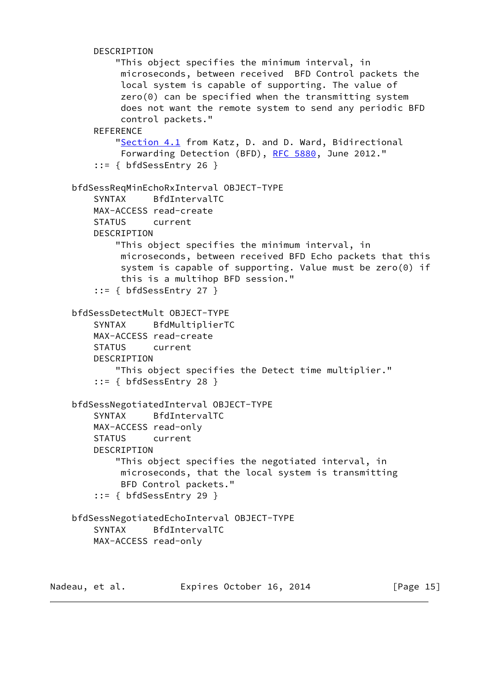```
 DESCRIPTION
             "This object specifies the minimum interval, in
             microseconds, between received BFD Control packets the
              local system is capable of supporting. The value of
              zero(0) can be specified when the transmitting system
              does not want the remote system to send any periodic BFD
              control packets."
        REFERENCE
            "Section 4.1 from Katz, D. and D. Ward, Bidirectional
              Forwarding Detection (BFD), RFC 5880, June 2012."
         ::= { bfdSessEntry 26 }
     bfdSessReqMinEchoRxInterval OBJECT-TYPE
         SYNTAX BfdIntervalTC
        MAX-ACCESS read-create
         STATUS current
         DESCRIPTION
             "This object specifies the minimum interval, in
             microseconds, between received BFD Echo packets that this
              system is capable of supporting. Value must be zero(0) if
              this is a multihop BFD session."
         ::= { bfdSessEntry 27 }
     bfdSessDetectMult OBJECT-TYPE
         SYNTAX BfdMultiplierTC
         MAX-ACCESS read-create
         STATUS current
         DESCRIPTION
             "This object specifies the Detect time multiplier."
         ::= { bfdSessEntry 28 }
     bfdSessNegotiatedInterval OBJECT-TYPE
         SYNTAX BfdIntervalTC
        MAX-ACCESS read-only
         STATUS current
         DESCRIPTION
             "This object specifies the negotiated interval, in
             microseconds, that the local system is transmitting
             BFD Control packets."
         ::= { bfdSessEntry 29 }
     bfdSessNegotiatedEchoInterval OBJECT-TYPE
         SYNTAX BfdIntervalTC
         MAX-ACCESS read-only
Nadeau, et al. Expires October 16, 2014 [Page 15]
```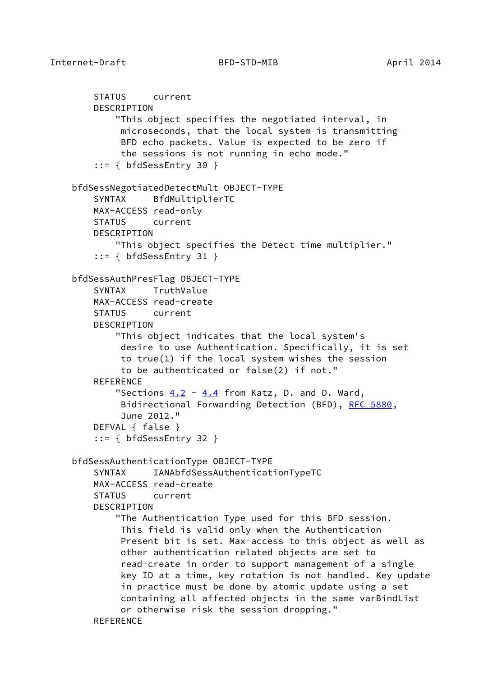```
 STATUS current
     DESCRIPTION
         "This object specifies the negotiated interval, in
          microseconds, that the local system is transmitting
          BFD echo packets. Value is expected to be zero if
          the sessions is not running in echo mode."
     ::= { bfdSessEntry 30 }
 bfdSessNegotiatedDetectMult OBJECT-TYPE
     SYNTAX BfdMultiplierTC
    MAX-ACCESS read-only
     STATUS current
     DESCRIPTION
         "This object specifies the Detect time multiplier."
     ::= { bfdSessEntry 31 }
 bfdSessAuthPresFlag OBJECT-TYPE
     SYNTAX TruthValue
    MAX-ACCESS read-create
     STATUS current
     DESCRIPTION
         "This object indicates that the local system's
          desire to use Authentication. Specifically, it is set
          to true(1) if the local system wishes the session
          to be authenticated or false(2) if not."
     REFERENCE
        "Sections 4.2 4.4 from Katz, D. and D. Ward,
          Bidirectional Forwarding Detection (BFD), RFC 5880,
          June 2012."
     DEFVAL { false }
     ::= { bfdSessEntry 32 }
 bfdSessAuthenticationType OBJECT-TYPE
     SYNTAX IANAbfdSessAuthenticationTypeTC
     MAX-ACCESS read-create
     STATUS current
     DESCRIPTION
         "The Authentication Type used for this BFD session.
          This field is valid only when the Authentication
          Present bit is set. Max-access to this object as well as
          other authentication related objects are set to
          read-create in order to support management of a single
          key ID at a time, key rotation is not handled. Key update
          in practice must be done by atomic update using a set
          containing all affected objects in the same varBindList
          or otherwise risk the session dropping."
     REFERENCE
```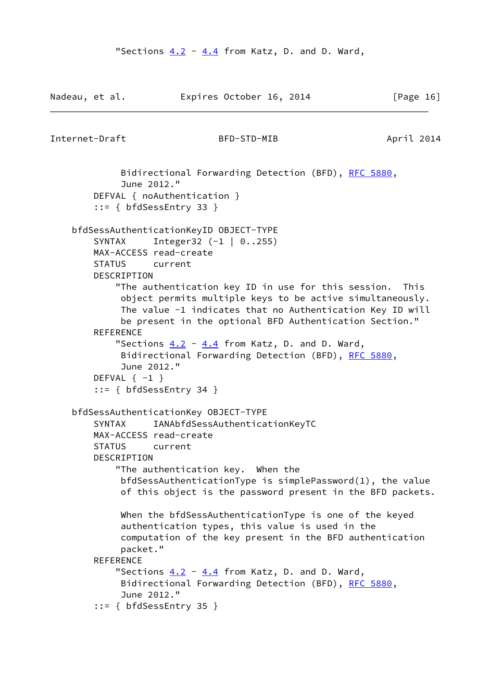```
Nadeau, et al. Expires October 16, 2014 [Page 16]
Internet-Draft BFD-STD-MIB April 2014
             Bidirectional Forwarding Detection (BFD), RFC 5880,
             June 2012."
        DEFVAL { noAuthentication }
        ::= { bfdSessEntry 33 }
    bfdSessAuthenticationKeyID OBJECT-TYPE
        SYNTAX Integer32 (-1 | 0..255)
        MAX-ACCESS read-create
        STATUS current
       DESCRIPTION
            "The authentication key ID in use for this session. This
             object permits multiple keys to be active simultaneously.
             The value -1 indicates that no Authentication Key ID will
             be present in the optional BFD Authentication Section."
        REFERENCE
            "Sections 4.2 - 4.4 from Katz, D. and D. Ward,
            RFC 5880,
             June 2012."
       DEFVAL \{-1\} ::= { bfdSessEntry 34 }
    bfdSessAuthenticationKey OBJECT-TYPE
        SYNTAX IANAbfdSessAuthenticationKeyTC
        MAX-ACCESS read-create
        STATUS current
        DESCRIPTION
            "The authentication key. When the
             bfdSessAuthenticationType is simplePassword(1), the value
             of this object is the password present in the BFD packets.
             When the bfdSessAuthenticationType is one of the keyed
             authentication types, this value is used in the
             computation of the key present in the BFD authentication
             packet."
       REFERENCE
           "Sections 4.2 4.4 from Katz, D. and D. Ward,
             Bidirectional Forwarding Detection (BFD), RFC 5880,
             June 2012."
        ::= { bfdSessEntry 35 }
```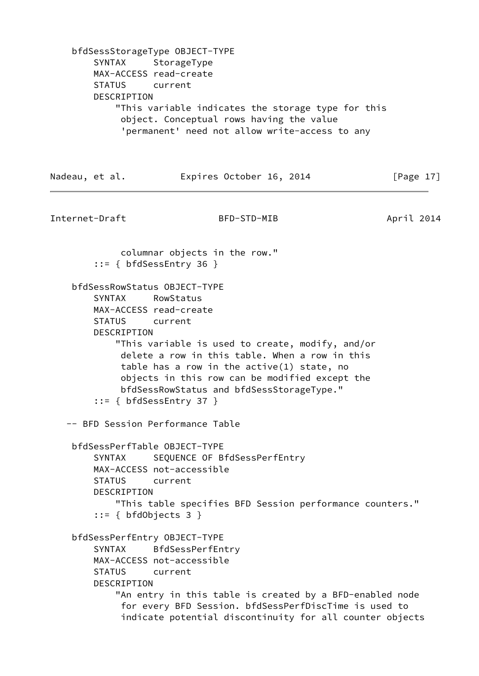bfdSessStorageType OBJECT-TYPE SYNTAX StorageType MAX-ACCESS read-create STATUS current DESCRIPTION "This variable indicates the storage type for this object. Conceptual rows having the value 'permanent' need not allow write-access to any Nadeau, et al. **Expires October 16, 2014** [Page 17] Internet-Draft BFD-STD-MIB April 2014 columnar objects in the row." ::= { bfdSessEntry 36 } bfdSessRowStatus OBJECT-TYPE SYNTAX RowStatus MAX-ACCESS read-create STATUS current DESCRIPTION "This variable is used to create, modify, and/or delete a row in this table. When a row in this table has a row in the active(1) state, no objects in this row can be modified except the bfdSessRowStatus and bfdSessStorageType." ::= { bfdSessEntry 37 } -- BFD Session Performance Table bfdSessPerfTable OBJECT-TYPE SYNTAX SEQUENCE OF BfdSessPerfEntry MAX-ACCESS not-accessible STATUS current DESCRIPTION "This table specifies BFD Session performance counters." ::= { bfdObjects 3 } bfdSessPerfEntry OBJECT-TYPE SYNTAX BfdSessPerfEntry MAX-ACCESS not-accessible STATUS current DESCRIPTION "An entry in this table is created by a BFD-enabled node for every BFD Session. bfdSessPerfDiscTime is used to indicate potential discontinuity for all counter objects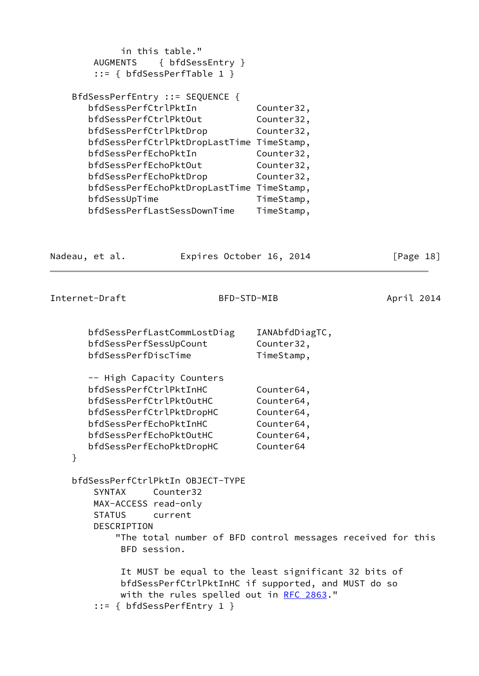|   | <b>AUGMENTS</b>                                                                                                                                                                             | in this table."<br>{ bfdSessEntry }<br>$::= \{ bfdSessPerfTable 1 \}$                                                                                    |                                                                                                              |            |
|---|---------------------------------------------------------------------------------------------------------------------------------------------------------------------------------------------|----------------------------------------------------------------------------------------------------------------------------------------------------------|--------------------------------------------------------------------------------------------------------------|------------|
|   | bfdSessPerfCtrlPktIn<br>bfdSessPerfCtrlPktOut<br>bfdSessPerfCtrlPktDrop<br>bfdSessPerfEchoPktIn<br>bfdSessPerfEchoPktOut<br>bfdSessPerfEchoPktDrop<br>bfdSessUpTime                         | BfdSessPerfEntry ::= SEQUENCE {<br>bfdSessPerfCtrlPktDropLastTime TimeStamp,<br>bfdSessPerfEchoPktDropLastTime TimeStamp,<br>bfdSessPerfLastSessDownTime | Counter32,<br>Counter32,<br>Counter32,<br>Counter32,<br>Counter32,<br>Counter32,<br>TimeStamp,<br>TimeStamp, |            |
|   | Nadeau, et al.                                                                                                                                                                              | Expires October 16, 2014                                                                                                                                 |                                                                                                              | [Page 18]  |
|   | Internet-Draft                                                                                                                                                                              | BFD-STD-MIB                                                                                                                                              |                                                                                                              | April 2014 |
|   | bfdSessPerfSessUpCount<br>bfdSessPerfDiscTime                                                                                                                                               | bfdSessPerfLastCommLostDiag                                                                                                                              | IANAbfdDiagTC,<br>Counter32,<br>TimeStamp,                                                                   |            |
| } | -- High Capacity Counters<br>bfdSessPerfCtrlPktInHC<br>bfdSessPerfCtrlPktOutHC<br>bfdSessPerfCtrlPktDropHC<br>bfdSessPerfEchoPktInHC<br>bfdSessPerfEchoPktOutHC<br>bfdSessPerfEchoPktDropHC |                                                                                                                                                          | Counter64,<br>Counter64,<br>Counter64,<br>Counter64,<br>Counter64,<br>Counter64                              |            |
|   | <b>SYNTAX</b><br>MAX-ACCESS read-only<br><b>STATUS</b><br>DESCRIPTION<br>BFD session.                                                                                                       | bfdSessPerfCtrlPktIn OBJECT-TYPE<br>Counter32<br>current                                                                                                 | "The total number of BFD control messages received for this                                                  |            |
|   |                                                                                                                                                                                             | with the rules spelled out in RFC 2863."<br>$::= \{ bfdSessPerfEntry 1 \}$                                                                               | It MUST be equal to the least significant 32 bits of<br>bfdSessPerfCtrlPktInHC if supported, and MUST do so  |            |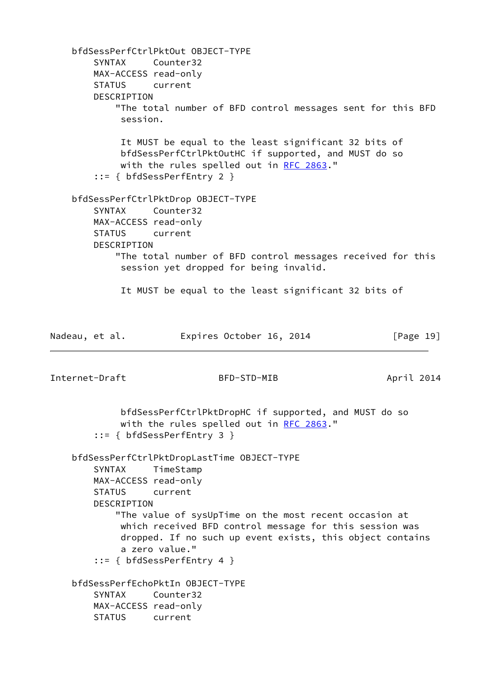bfdSessPerfCtrlPktOut OBJECT-TYPE SYNTAX Counter32 MAX-ACCESS read-only STATUS current DESCRIPTION "The total number of BFD control messages sent for this BFD session. It MUST be equal to the least significant 32 bits of bfdSessPerfCtrlPktOutHC if supported, and MUST do so with the rules spelled out in [RFC 2863](https://datatracker.ietf.org/doc/pdf/rfc2863)." ::= { bfdSessPerfEntry 2 } bfdSessPerfCtrlPktDrop OBJECT-TYPE SYNTAX Counter32 MAX-ACCESS read-only STATUS current DESCRIPTION "The total number of BFD control messages received for this session yet dropped for being invalid. It MUST be equal to the least significant 32 bits of Nadeau, et al. **Expires October 16, 2014** [Page 19] Internet-Draft BFD-STD-MIB April 2014 bfdSessPerfCtrlPktDropHC if supported, and MUST do so with the rules spelled out in [RFC 2863](https://datatracker.ietf.org/doc/pdf/rfc2863)." ::= { bfdSessPerfEntry 3 } bfdSessPerfCtrlPktDropLastTime OBJECT-TYPE SYNTAX TimeStamp MAX-ACCESS read-only STATUS current DESCRIPTION "The value of sysUpTime on the most recent occasion at which received BFD control message for this session was dropped. If no such up event exists, this object contains a zero value." ::= { bfdSessPerfEntry 4 } bfdSessPerfEchoPktIn OBJECT-TYPE SYNTAX Counter32 MAX-ACCESS read-only STATUS current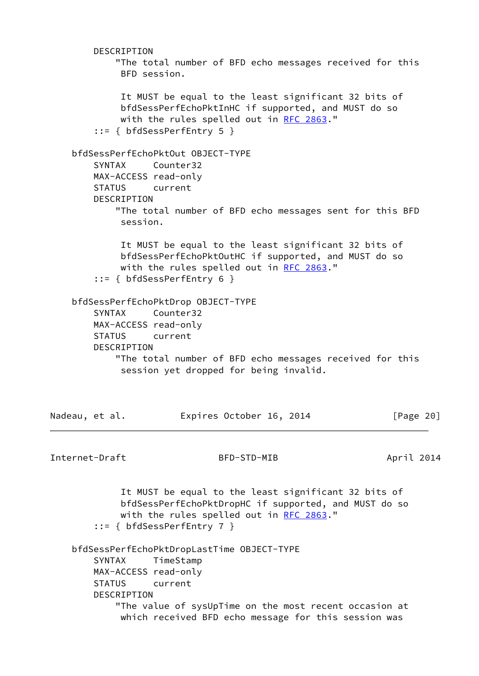DESCRIPTION "The total number of BFD echo messages received for this BFD session. It MUST be equal to the least significant 32 bits of bfdSessPerfEchoPktInHC if supported, and MUST do so with the rules spelled out in [RFC 2863](https://datatracker.ietf.org/doc/pdf/rfc2863)." ::= { bfdSessPerfEntry 5 } bfdSessPerfEchoPktOut OBJECT-TYPE SYNTAX Counter32 MAX-ACCESS read-only STATUS current DESCRIPTION "The total number of BFD echo messages sent for this BFD session. It MUST be equal to the least significant 32 bits of bfdSessPerfEchoPktOutHC if supported, and MUST do so with the rules spelled out in [RFC 2863](https://datatracker.ietf.org/doc/pdf/rfc2863)." ::= { bfdSessPerfEntry 6 } bfdSessPerfEchoPktDrop OBJECT-TYPE SYNTAX Counter32 MAX-ACCESS read-only STATUS current DESCRIPTION "The total number of BFD echo messages received for this session yet dropped for being invalid. Nadeau, et al. **Expires October 16, 2014** [Page 20] Internet-Draft BFD-STD-MIB April 2014 It MUST be equal to the least significant 32 bits of bfdSessPerfEchoPktDropHC if supported, and MUST do so with the rules spelled out in [RFC 2863](https://datatracker.ietf.org/doc/pdf/rfc2863)." ::= { bfdSessPerfEntry 7 } bfdSessPerfEchoPktDropLastTime OBJECT-TYPE SYNTAX TimeStamp MAX-ACCESS read-only STATUS current DESCRIPTION "The value of sysUpTime on the most recent occasion at which received BFD echo message for this session was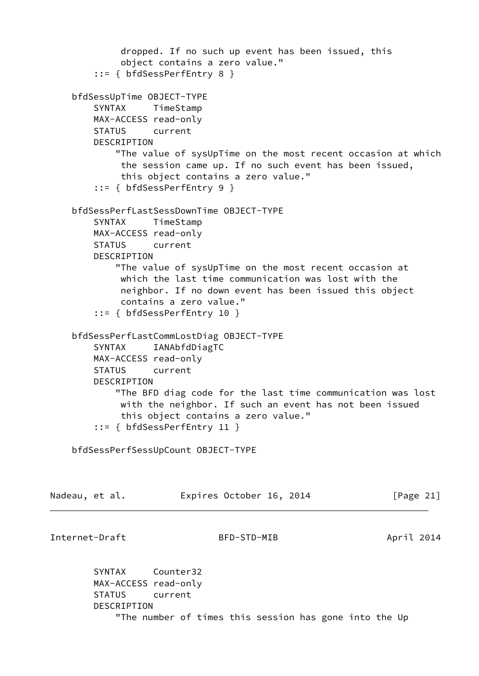```
 dropped. If no such up event has been issued, this
             object contains a zero value."
         ::= { bfdSessPerfEntry 8 }
     bfdSessUpTime OBJECT-TYPE
         SYNTAX TimeStamp
        MAX-ACCESS read-only
        STATUS current
        DESCRIPTION
            "The value of sysUpTime on the most recent occasion at which
             the session came up. If no such event has been issued,
             this object contains a zero value."
         ::= { bfdSessPerfEntry 9 }
     bfdSessPerfLastSessDownTime OBJECT-TYPE
         SYNTAX TimeStamp
        MAX-ACCESS read-only
        STATUS current
        DESCRIPTION
            "The value of sysUpTime on the most recent occasion at
             which the last time communication was lost with the
             neighbor. If no down event has been issued this object
             contains a zero value."
         ::= { bfdSessPerfEntry 10 }
     bfdSessPerfLastCommLostDiag OBJECT-TYPE
        SYNTAX IANAbfdDiagTC
        MAX-ACCESS read-only
        STATUS current
       DESCRIPTION
            "The BFD diag code for the last time communication was lost
             with the neighbor. If such an event has not been issued
             this object contains a zero value."
         ::= { bfdSessPerfEntry 11 }
    bfdSessPerfSessUpCount OBJECT-TYPE
Nadeau, et al.           Expires October 16, 2014           [Page 21]
Internet-Draft BFD-STD-MIB April 2014
        SYNTAX Counter32
        MAX-ACCESS read-only
        STATUS current
        DESCRIPTION
             "The number of times this session has gone into the Up
```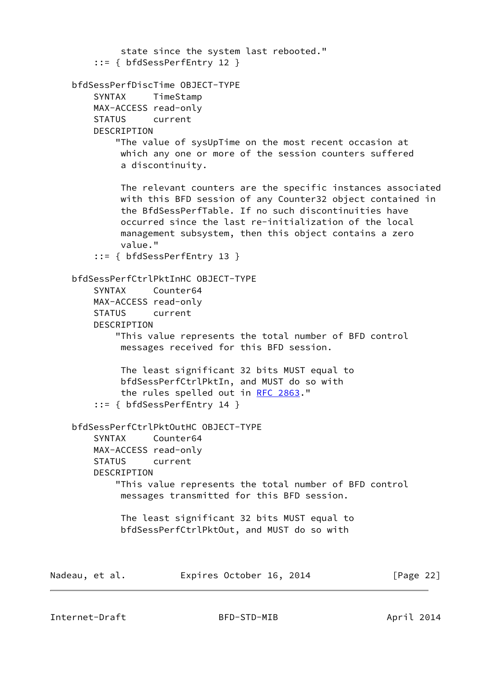state since the system last rebooted." ::= { bfdSessPerfEntry 12 } bfdSessPerfDiscTime OBJECT-TYPE SYNTAX TimeStamp MAX-ACCESS read-only STATUS current DESCRIPTION "The value of sysUpTime on the most recent occasion at which any one or more of the session counters suffered a discontinuity. The relevant counters are the specific instances associated with this BFD session of any Counter32 object contained in the BfdSessPerfTable. If no such discontinuities have occurred since the last re-initialization of the local management subsystem, then this object contains a zero value." ::= { bfdSessPerfEntry 13 } bfdSessPerfCtrlPktInHC OBJECT-TYPE SYNTAX Counter64 MAX-ACCESS read-only STATUS current DESCRIPTION "This value represents the total number of BFD control messages received for this BFD session. The least significant 32 bits MUST equal to bfdSessPerfCtrlPktIn, and MUST do so with the rules spelled out in [RFC 2863.](https://datatracker.ietf.org/doc/pdf/rfc2863)" ::= { bfdSessPerfEntry 14 } bfdSessPerfCtrlPktOutHC OBJECT-TYPE SYNTAX Counter64 MAX-ACCESS read-only STATUS current DESCRIPTION "This value represents the total number of BFD control messages transmitted for this BFD session. The least significant 32 bits MUST equal to bfdSessPerfCtrlPktOut, and MUST do so with Nadeau, et al. **Expires October 16, 2014** [Page 22]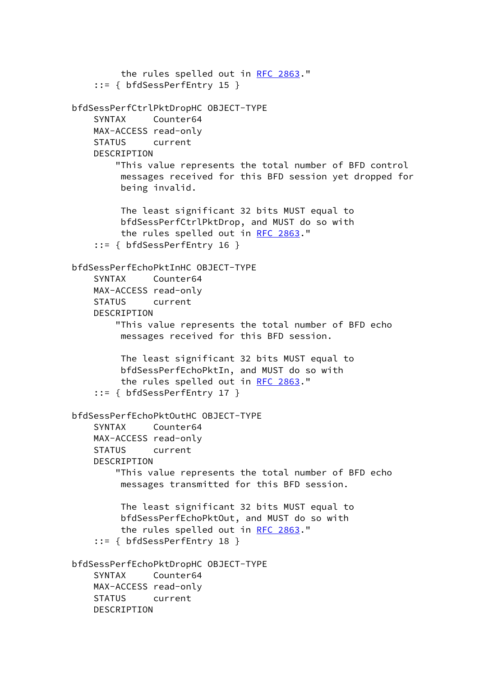```
 the rules spelled out in RFC 2863."
     ::= { bfdSessPerfEntry 15 }
 bfdSessPerfCtrlPktDropHC OBJECT-TYPE
     SYNTAX Counter64
    MAX-ACCESS read-only
     STATUS current
    DESCRIPTION
         "This value represents the total number of BFD control
         messages received for this BFD session yet dropped for
         being invalid.
         The least significant 32 bits MUST equal to
         bfdSessPerfCtrlPktDrop, and MUST do so with
         RFC 2863."
     ::= { bfdSessPerfEntry 16 }
 bfdSessPerfEchoPktInHC OBJECT-TYPE
     SYNTAX Counter64
    MAX-ACCESS read-only
     STATUS current
     DESCRIPTION
         "This value represents the total number of BFD echo
         messages received for this BFD session.
         The least significant 32 bits MUST equal to
         bfdSessPerfEchoPktIn, and MUST do so with
          the rules spelled out in RFC 2863."
     ::= { bfdSessPerfEntry 17 }
 bfdSessPerfEchoPktOutHC OBJECT-TYPE
     SYNTAX Counter64
    MAX-ACCESS read-only
     STATUS current
     DESCRIPTION
         "This value represents the total number of BFD echo
         messages transmitted for this BFD session.
         The least significant 32 bits MUST equal to
         bfdSessPerfEchoPktOut, and MUST do so with
         the rules spelled out in RFC 2863."
     ::= { bfdSessPerfEntry 18 }
 bfdSessPerfEchoPktDropHC OBJECT-TYPE
     SYNTAX Counter64
     MAX-ACCESS read-only
     STATUS current
     DESCRIPTION
```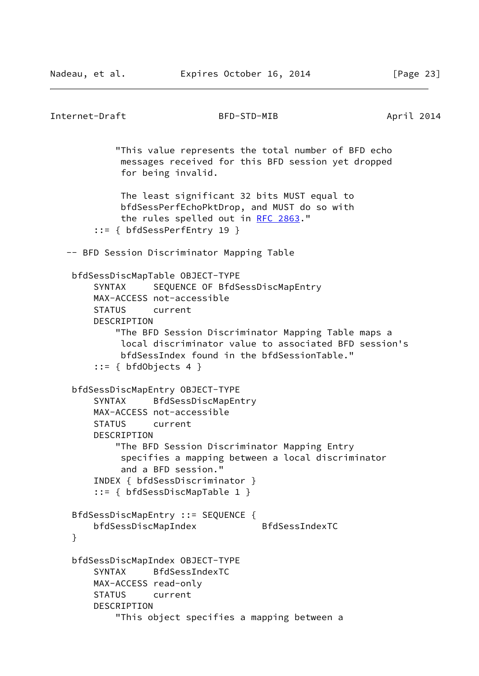```
Internet-Draft BFD-STD-MIB April 2014
            "This value represents the total number of BFD echo
             messages received for this BFD session yet dropped
             for being invalid.
             The least significant 32 bits MUST equal to
             bfdSessPerfEchoPktDrop, and MUST do so with
            RFC 2863."
        ::= { bfdSessPerfEntry 19 }
   -- BFD Session Discriminator Mapping Table
    bfdSessDiscMapTable OBJECT-TYPE
        SYNTAX SEQUENCE OF BfdSessDiscMapEntry
        MAX-ACCESS not-accessible
        STATUS current
        DESCRIPTION
            "The BFD Session Discriminator Mapping Table maps a
             local discriminator value to associated BFD session's
             bfdSessIndex found in the bfdSessionTable."
       ::= { bfdObjects 4 } bfdSessDiscMapEntry OBJECT-TYPE
        SYNTAX BfdSessDiscMapEntry
        MAX-ACCESS not-accessible
        STATUS current
        DESCRIPTION
            "The BFD Session Discriminator Mapping Entry
             specifies a mapping between a local discriminator
             and a BFD session."
        INDEX { bfdSessDiscriminator }
        ::= { bfdSessDiscMapTable 1 }
    BfdSessDiscMapEntry ::= SEQUENCE {
        bfdSessDiscMapIndex BfdSessIndexTC
    }
    bfdSessDiscMapIndex OBJECT-TYPE
        SYNTAX BfdSessIndexTC
        MAX-ACCESS read-only
        STATUS current
        DESCRIPTION
            "This object specifies a mapping between a
```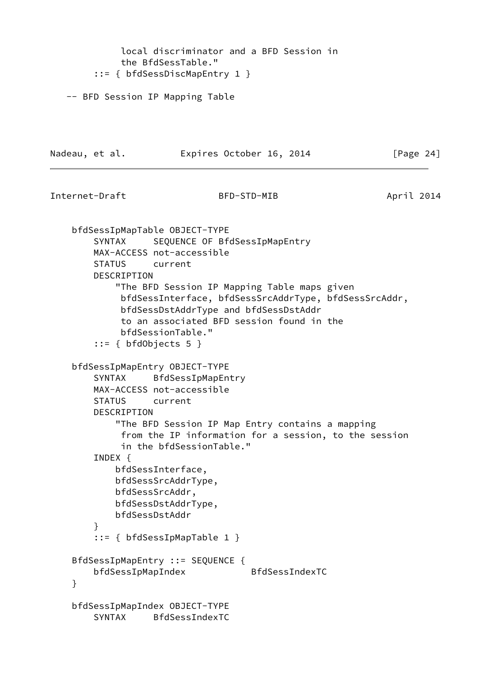local discriminator and a BFD Session in the BfdSessTable." ::= { bfdSessDiscMapEntry 1 } -- BFD Session IP Mapping Table Nadeau, et al. Expires October 16, 2014 [Page 24] Internet-Draft BFD-STD-MIB April 2014 bfdSessIpMapTable OBJECT-TYPE SYNTAX SEQUENCE OF BfdSessIpMapEntry MAX-ACCESS not-accessible STATUS current DESCRIPTION "The BFD Session IP Mapping Table maps given bfdSessInterface, bfdSessSrcAddrType, bfdSessSrcAddr, bfdSessDstAddrType and bfdSessDstAddr to an associated BFD session found in the bfdSessionTable." ::= { bfdObjects 5 } bfdSessIpMapEntry OBJECT-TYPE SYNTAX BfdSessIpMapEntry MAX-ACCESS not-accessible STATUS current DESCRIPTION "The BFD Session IP Map Entry contains a mapping from the IP information for a session, to the session in the bfdSessionTable." INDEX { bfdSessInterface, bfdSessSrcAddrType, bfdSessSrcAddr, bfdSessDstAddrType, bfdSessDstAddr } ::= { bfdSessIpMapTable 1 } BfdSessIpMapEntry ::= SEQUENCE { bfdSessIpMapIndex BfdSessIndexTC } bfdSessIpMapIndex OBJECT-TYPE SYNTAX BfdSessIndexTC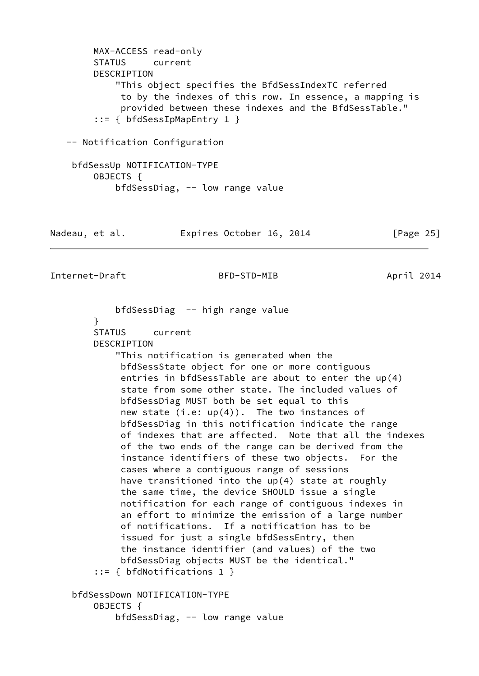MAX-ACCESS read-only STATUS current DESCRIPTION "This object specifies the BfdSessIndexTC referred to by the indexes of this row. In essence, a mapping is provided between these indexes and the BfdSessTable." ::= { bfdSessIpMapEntry 1 } -- Notification Configuration bfdSessUp NOTIFICATION-TYPE OBJECTS { bfdSessDiag, -- low range value Nadeau, et al. **Expires October 16, 2014** [Page 25] Internet-Draft BFD-STD-MIB April 2014 bfdSessDiag -- high range value } STATUS current DESCRIPTION "This notification is generated when the bfdSessState object for one or more contiguous entries in bfdSessTable are about to enter the up(4) state from some other state. The included values of bfdSessDiag MUST both be set equal to this new state  $(i.e: up(4))$ . The two instances of bfdSessDiag in this notification indicate the range of indexes that are affected. Note that all the indexes of the two ends of the range can be derived from the instance identifiers of these two objects. For the cases where a contiguous range of sessions have transitioned into the up(4) state at roughly the same time, the device SHOULD issue a single

 notification for each range of contiguous indexes in an effort to minimize the emission of a large number of notifications. If a notification has to be issued for just a single bfdSessEntry, then the instance identifier (and values) of the two bfdSessDiag objects MUST be the identical." ::= { bfdNotifications 1 } bfdSessDown NOTIFICATION-TYPE OBJECTS {

```
 bfdSessDiag, -- low range value
```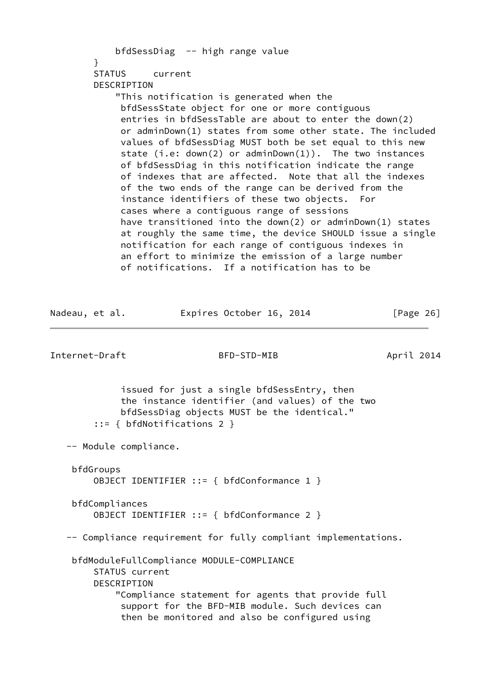| bfdSessDiag -- high range value                            |           |
|------------------------------------------------------------|-----------|
| }                                                          |           |
| STATUS current                                             |           |
| DESCRIPTION                                                |           |
| "This notification is generated when the                   |           |
| bfdSessState object for one or more contiguous             |           |
| entries in bfdSessTable are about to enter the down(2)     |           |
| or adminDown(1) states from some other state. The included |           |
| values of bfdSessDiag MUST both be set equal to this new   |           |
| state (i.e: $down(2)$ or adminDown(1)). The two instances  |           |
| of bfdSessDiag in this notification indicate the range     |           |
| of indexes that are affected. Note that all the indexes    |           |
| of the two ends of the range can be derived from the       |           |
| instance identifiers of these two objects. For             |           |
| cases where a contiguous range of sessions                 |           |
| have transitioned into the down(2) or adminDown(1) states  |           |
| at roughly the same time, the device SHOULD issue a single |           |
| notification for each range of contiguous indexes in       |           |
| an effort to minimize the emission of a large number       |           |
| of notifications. If a notification has to be              |           |
|                                                            |           |
|                                                            |           |
|                                                            |           |
| Nadeau, et al.<br>Expires October 16, 2014                 | [Page 26] |

Internet-Draft BFD-STD-MIB April 2014

 issued for just a single bfdSessEntry, then the instance identifier (and values) of the two bfdSessDiag objects MUST be the identical." ::= { bfdNotifications 2 }

-- Module compliance.

```
 bfdGroups
     OBJECT IDENTIFIER ::= { bfdConformance 1 }
```
 bfdCompliances OBJECT IDENTIFIER ::= { bfdConformance 2 } -- Compliance requirement for fully compliant implementations.

 bfdModuleFullCompliance MODULE-COMPLIANCE STATUS current DESCRIPTION "Compliance statement for agents that provide full support for the BFD-MIB module. Such devices can then be monitored and also be configured using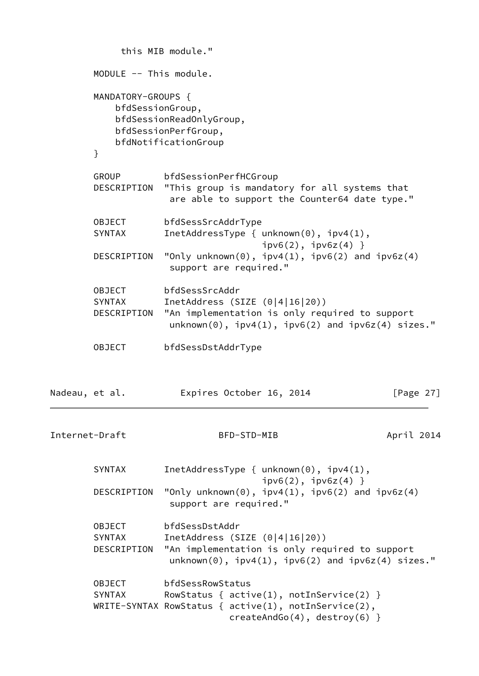|                |                                                                | this MIB module."                                                                                                                                                                          |            |  |  |
|----------------|----------------------------------------------------------------|--------------------------------------------------------------------------------------------------------------------------------------------------------------------------------------------|------------|--|--|
|                | MODULE -- This module.                                         |                                                                                                                                                                                            |            |  |  |
|                | MANDATORY-GROUPS {<br>bfdSessionGroup,<br>}                    | bfdSessionReadOnlyGroup,<br>bfdSessionPerfGroup,<br>bfdNotificationGroup                                                                                                                   |            |  |  |
|                | GROUP<br>DESCRIPTION                                           | bfdSessionPerfHCGroup<br>"This group is mandatory for all systems that<br>are able to support the Counter64 date type."                                                                    |            |  |  |
|                | <b>OBJECT</b><br><b>SYNTAX</b><br>DESCRIPTION                  | bfdSessSrcAddrType<br>InetAddressType { $unknown(0)$ , $ipv4(1)$ ,<br>$ipv6(2)$ , $ipv6z(4)$ }<br>"Only unknown $(0)$ , ipv4 $(1)$ , ipv6 $(2)$ and ipv6z $(4)$<br>support are required."  |            |  |  |
|                | <b>OBJECT</b><br><b>SYNTAX</b><br>DESCRIPTION<br><b>OBJECT</b> | bfdSessSrcAddr<br>InetAddress (SIZE $(0 4 16 20)$ )<br>"An implementation is only required to support<br>$unknown(0)$ , $ipv4(1)$ , $ipv6(2)$ and $ipv6z(4)$ sizes."<br>bfdSessDstAddrType |            |  |  |
| Nadeau, et al. |                                                                | Expires October 16, 2014                                                                                                                                                                   | [Page 27]  |  |  |
| Internet-Draft |                                                                | BFD-STD-MIB                                                                                                                                                                                | April 2014 |  |  |
|                | <b>SYNTAX</b><br>DESCRIPTION                                   | InetAddressType { $unknown(0)$ , $ipv4(1)$ ,<br>$ipv6(2)$ , $ipv6z(4)$ }<br>"Only unknown $(0)$ , ipv4 $(1)$ , ipv6 $(2)$ and ipv6z $(4)$<br>support are required."                        |            |  |  |
|                | <b>OBJECT</b><br><b>SYNTAX</b><br>DESCRIPTION                  | bfdSessDstAddr<br>InetAddress (SIZE $(0 4 16 20)$ )<br>"An implementation is only required to support<br>$unknown(0)$ , $ipv4(1)$ , $ipv6(2)$ and $ipv6z(4)$ sizes."                       |            |  |  |
|                | OBJECT<br><b>SYNTAX</b>                                        | bfdSessRowStatus<br>RowStatus { $active(1)$ , $notInService(2)$ }<br>WRITE-SYNTAX RowStatus { $active(1)$ , $notInService(2)$ ,<br>$createAndGo(4), destroy(6)$ }                          |            |  |  |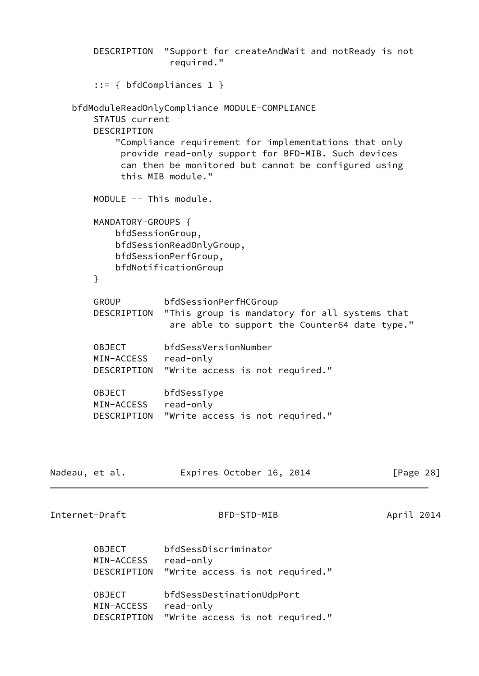|                | <b>OBJECT</b><br>MIN-ACCESS                | bfdSessDestinationUdpPort<br>read-only                                                                       |            |
|----------------|--------------------------------------------|--------------------------------------------------------------------------------------------------------------|------------|
|                | <b>OBJECT</b><br>MIN-ACCESS<br>DESCRIPTION | bfdSessDiscriminator<br>read-only<br>"Write access is not required."                                         |            |
| Internet-Draft |                                            | BFD-STD-MIB                                                                                                  | April 2014 |
| Nadeau, et al. |                                            | Expires October 16, 2014                                                                                     | [Page 28]  |
|                |                                            |                                                                                                              |            |
|                |                                            | DESCRIPTION "Write access is not required."                                                                  |            |
|                | <b>OBJECT</b><br>MIN-ACCESS                | bfdSessType<br>read-only                                                                                     |            |
|                | DESCRIPTION                                | "Write access is not required."                                                                              |            |
|                | <b>OBJECT</b><br>MIN-ACCESS                | bfdSessVersionNumber<br>read-only                                                                            |            |
|                | DESCRIPTION                                | "This group is mandatory for all systems that<br>are able to support the Counter64 date type."               |            |
|                | GROUP                                      | bfdSessionPerfHCGroup                                                                                        |            |
|                | }                                          | bfdNotificationGroup                                                                                         |            |
|                |                                            | bfdSessionReadOnlyGroup,<br>bfdSessionPerfGroup,                                                             |            |
|                | MANDATORY-GROUPS {<br>bfdSessionGroup,     |                                                                                                              |            |
|                | MODULE -- This module.                     |                                                                                                              |            |
|                |                                            | can then be monitored but cannot be configured using<br>this MIB module."                                    |            |
|                |                                            | "Compliance requirement for implementations that only<br>provide read-only support for BFD-MIB. Such devices |            |
|                | STATUS current<br>DESCRIPTION              | bfdModuleReadOnlyCompliance MODULE-COMPLIANCE                                                                |            |
|                | $::= \{ \text{bfCompliances 1 } \}$        |                                                                                                              |            |
|                | DESCRIPTION                                | "Support for createAndWait and notReady is not<br>required."                                                 |            |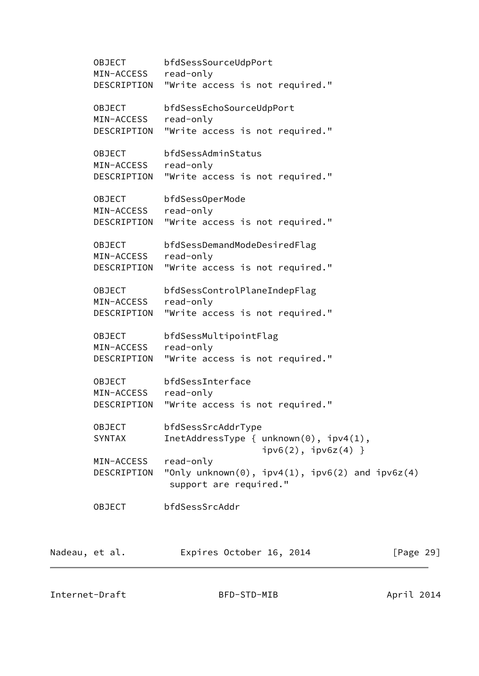OBJECT bfdSessSourceUdpPort MIN-ACCESS read-only DESCRIPTION "Write access is not required." OBJECT bfdSessEchoSourceUdpPort MIN-ACCESS read-only DESCRIPTION "Write access is not required." OBJECT bfdSessAdminStatus MIN-ACCESS read-only DESCRIPTION "Write access is not required." OBJECT bfdSessOperMode MIN-ACCESS read-only DESCRIPTION "Write access is not required." OBJECT bfdSessDemandModeDesiredFlag MIN-ACCESS read-only DESCRIPTION "Write access is not required." OBJECT bfdSessControlPlaneIndepFlag MIN-ACCESS read-only DESCRIPTION "Write access is not required." OBJECT bfdSessMultipointFlag MIN-ACCESS read-only DESCRIPTION "Write access is not required." OBJECT bfdSessInterface MIN-ACCESS read-only DESCRIPTION "Write access is not required." OBJECT bfdSessSrcAddrType SYNTAX InetAddressType { unknown(0), ipv4(1),  $ipv6(2)$ ,  $ipv6z(4)$  } MIN-ACCESS read-only DESCRIPTION "Only unknown(0), ipv4(1), ipv6(2) and ipv6z(4) support are required." OBJECT bfdSessSrcAddr Nadeau, et al. **Expires October 16, 2014** [Page 29]

Internet-Draft BFD-STD-MIB April 2014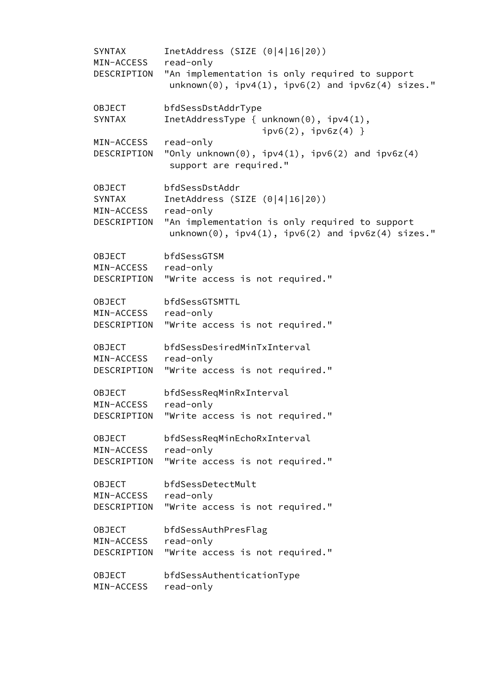| SYNTAX<br>MIN-ACCESS | InetAddress (SIZE $(0 4 16 20)$ )<br>read-only                                                                |
|----------------------|---------------------------------------------------------------------------------------------------------------|
| DESCRIPTION          | "An implementation is only required to support                                                                |
|                      | $unknown(0)$ , $ipv4(1)$ , $ipv6(2)$ and $ipv6z(4)$ sizes."                                                   |
| OBJECT               | bfdSessDstAddrType                                                                                            |
| SYNTAX               | InetAddressType { $unknown(0)$ , $ipv4(1)$ ,<br>$ipv6(2)$ , $ipv6z(4)$ }                                      |
| MIN-ACCESS           | read-only                                                                                                     |
| DESCRIPTION          | "Only unknown $(0)$ , ipv4 $(1)$ , ipv6 $(2)$ and ipv6z $(4)$<br>support are required."                       |
| OBJECT               | bfdSessDstAddr                                                                                                |
| SYNTAX               | InetAddress (SIZE $(0 4 16 20)$ )                                                                             |
| MIN-ACCESS           | read-only                                                                                                     |
| DESCRIPTION          | "An implementation is only required to support<br>$unknown(0)$ , $ipv4(1)$ , $ipv6(2)$ and $ipv6z(4)$ sizes." |
| OBJECT               | bfdSessGTSM                                                                                                   |
| MIN-ACCESS           | read-only                                                                                                     |
| DESCRIPTION          | "Write access is not required."                                                                               |
| <b>OBJECT</b>        | bfdSessGTSMTTL                                                                                                |
| MIN-ACCESS           | read-only                                                                                                     |
| DESCRIPTION          | "Write access is not required."                                                                               |
| OBJECT               | bfdSessDesiredMinTxInterval                                                                                   |
| MIN-ACCESS           | read-only                                                                                                     |
| DESCRIPTION          | "Write access is not required."                                                                               |
| <b>OBJECT</b>        | bfdSessReqMinRxInterval                                                                                       |
| MIN-ACCESS           | read-only                                                                                                     |
| DESCRIPTION          | "Write access is not required."                                                                               |
| <b>OBJECT</b>        | bfdSessReqMinEchoRxInterval                                                                                   |
| MIN-ACCESS           | read-only                                                                                                     |
| DESCRIPTION          | "Write access is not required."                                                                               |
| <b>OBJECT</b>        | bfdSessDetectMult                                                                                             |
| MIN-ACCESS           | read-only                                                                                                     |
| DESCRIPTION          | "Write access is not required."                                                                               |
| <b>OBJECT</b>        | bfdSessAuthPresFlag                                                                                           |
| MIN-ACCESS           | read-only                                                                                                     |
| DESCRIPTION          | "Write access is not required."                                                                               |
| <b>OBJECT</b>        | bfdSessAuthenticationType                                                                                     |
| MIN-ACCESS           | read-only                                                                                                     |
|                      |                                                                                                               |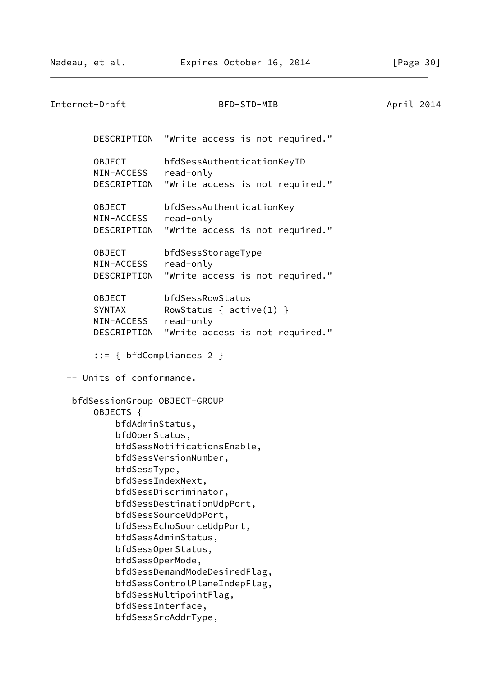| Internet-Draft                                                                                                                                               | BFD-STD-MIB                                                                                                                                                                                                                                                                                                                       | April 2014 |
|--------------------------------------------------------------------------------------------------------------------------------------------------------------|-----------------------------------------------------------------------------------------------------------------------------------------------------------------------------------------------------------------------------------------------------------------------------------------------------------------------------------|------------|
|                                                                                                                                                              | DESCRIPTION "Write access is not required."                                                                                                                                                                                                                                                                                       |            |
| OBJECT<br>MIN-ACCESS<br>DESCRIPTION                                                                                                                          | bfdSessAuthenticationKeyID<br>read-only<br>"Write access is not required."                                                                                                                                                                                                                                                        |            |
| <b>OBJECT</b><br>MIN-ACCESS<br>DESCRIPTION                                                                                                                   | bfdSessAuthenticationKey<br>read-only<br>"Write access is not required."                                                                                                                                                                                                                                                          |            |
| <b>OBJECT</b><br>MIN-ACCESS<br>DESCRIPTION                                                                                                                   | bfdSessStorageType<br>read-only<br>"Write access is not required."                                                                                                                                                                                                                                                                |            |
| <b>OBJECT</b><br>SYNTAX<br>MIN-ACCESS read-only                                                                                                              | bfdSessRowStatus<br>RowStatus { $active(1)$ }<br>DESCRIPTION "Write access is not required."                                                                                                                                                                                                                                      |            |
| $::= { bfdCompliances 2 }$                                                                                                                                   |                                                                                                                                                                                                                                                                                                                                   |            |
| -- Units of conformance.                                                                                                                                     |                                                                                                                                                                                                                                                                                                                                   |            |
| bfdSessionGroup OBJECT-GROUP<br>OBJECTS {<br>bfdAdminStatus,<br>bfdOperStatus,<br>bfdSessType,<br>bfdSessIndexNext,<br>bfdSessOperMode,<br>bfdSessInterface, | bfdSessNotificationsEnable,<br>bfdSessVersionNumber,<br>bfdSessDiscriminator,<br>bfdSessDestinationUdpPort,<br>bfdSessSourceUdpPort,<br>bfdSessEchoSourceUdpPort,<br>bfdSessAdminStatus,<br>bfdSessOperStatus,<br>bfdSessDemandModeDesiredFlag,<br>bfdSessControlPlaneIndepFlag,<br>bfdSessMultipointFlag,<br>bfdSessSrcAddrType, |            |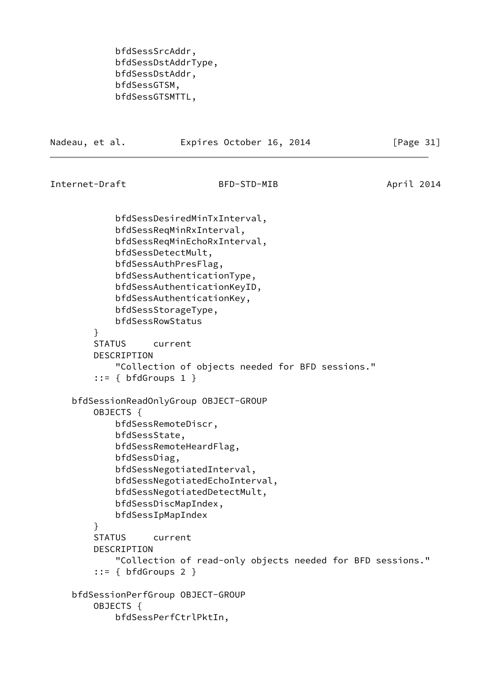bfdSessSrcAddr, bfdSessDstAddrType, bfdSessDstAddr, bfdSessGTSM, bfdSessGTSMTTL,

Nadeau, et al. **Expires October 16, 2014** [Page 31]

```
Internet-Draft BFD-STD-MIB April 2014
```
 bfdSessDesiredMinTxInterval, bfdSessReqMinRxInterval, bfdSessReqMinEchoRxInterval, bfdSessDetectMult, bfdSessAuthPresFlag, bfdSessAuthenticationType, bfdSessAuthenticationKeyID, bfdSessAuthenticationKey, bfdSessStorageType, bfdSessRowStatus } STATUS current DESCRIPTION "Collection of objects needed for BFD sessions."  $::=$  { bfdGroups 1 } bfdSessionReadOnlyGroup OBJECT-GROUP OBJECTS { bfdSessRemoteDiscr, bfdSessState, bfdSessRemoteHeardFlag, bfdSessDiag, bfdSessNegotiatedInterval, bfdSessNegotiatedEchoInterval, bfdSessNegotiatedDetectMult, bfdSessDiscMapIndex, bfdSessIpMapIndex } STATUS current DESCRIPTION "Collection of read-only objects needed for BFD sessions."  $::=$  { bfdGroups 2 } bfdSessionPerfGroup OBJECT-GROUP OBJECTS { bfdSessPerfCtrlPktIn,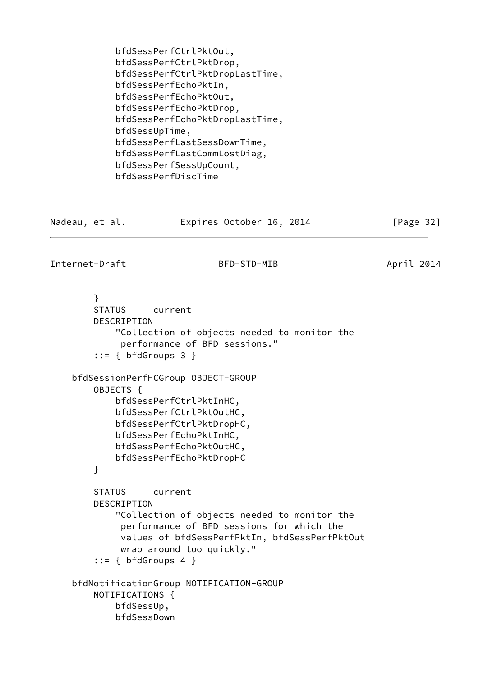<span id="page-36-0"></span>

| bfdSessPerfCtrlPktDropLastTime,                                 | bfdSessPerfEchoPktIn,<br>bfdSessPerfEchoPktOut, |                                                                                                                                                                                                                                                                                                                                                                                                                                                                                                                                                                                                                                                                                                                                                                                                          |
|-----------------------------------------------------------------|-------------------------------------------------|----------------------------------------------------------------------------------------------------------------------------------------------------------------------------------------------------------------------------------------------------------------------------------------------------------------------------------------------------------------------------------------------------------------------------------------------------------------------------------------------------------------------------------------------------------------------------------------------------------------------------------------------------------------------------------------------------------------------------------------------------------------------------------------------------------|
| Nadeau, et al.                                                  | Expires October 16, 2014                        | [Page $32$ ]                                                                                                                                                                                                                                                                                                                                                                                                                                                                                                                                                                                                                                                                                                                                                                                             |
| Internet-Draft                                                  | BFD-STD-MIB                                     | April 2014                                                                                                                                                                                                                                                                                                                                                                                                                                                                                                                                                                                                                                                                                                                                                                                               |
| $\mathcal{F}$<br><b>STATUS</b><br>DESCRIPTION<br>OBJECTS {<br>} |                                                 |                                                                                                                                                                                                                                                                                                                                                                                                                                                                                                                                                                                                                                                                                                                                                                                                          |
| <b>STATUS</b><br>DESCRIPTION                                    |                                                 |                                                                                                                                                                                                                                                                                                                                                                                                                                                                                                                                                                                                                                                                                                                                                                                                          |
|                                                                 |                                                 | bfdSessPerfEchoPktDrop,<br>bfdSessPerfEchoPktDropLastTime,<br>bfdSessUpTime,<br>bfdSessPerfLastSessDownTime,<br>bfdSessPerfLastCommLostDiag,<br>bfdSessPerfSessUpCount,<br>bfdSessPerfDiscTime<br>current<br>"Collection of objects needed to monitor the<br>performance of BFD sessions."<br>$::= \{ bfdGroups 3 \}$<br>bfdSessPerfCtrlPktInHC,<br>bfdSessPerfCtrlPktOutHC,<br>bfdSessPerfCtrlPktDropHC,<br>bfdSessPerfEchoPktInHC,<br>bfdSessPerfEchoPktOutHC,<br>bfdSessPerfEchoPktDropHC<br>current<br>"Collection of objects needed to monitor the<br>performance of BFD sessions for which the<br>values of bfdSessPerfPktIn, bfdSessPerfPktOut<br>wrap around too quickly."<br>$::= \{ bfdGroups 4 \}$<br>bfdNotificationGroup NOTIFICATION-GROUP<br>NOTIFICATIONS {<br>bfdSessUp,<br>bfdSessDown |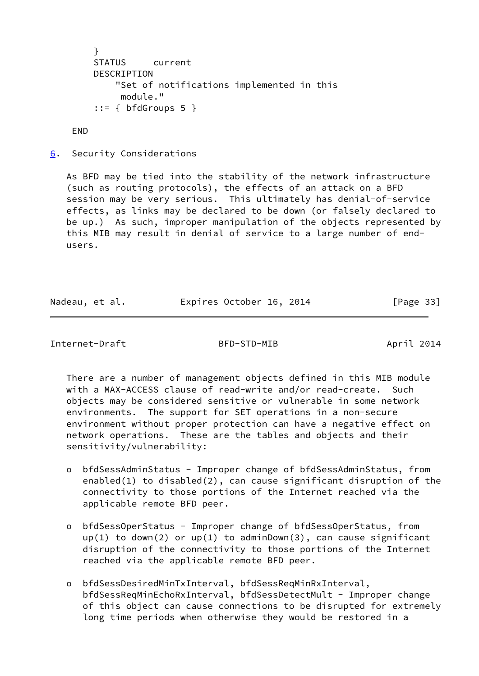```
 }
 STATUS current
 DESCRIPTION
     "Set of notifications implemented in this
      module."
::= { bfdGroups 5 }
```
END

<span id="page-37-0"></span>[6](#page-37-0). Security Considerations

 As BFD may be tied into the stability of the network infrastructure (such as routing protocols), the effects of an attack on a BFD session may be very serious. This ultimately has denial-of-service effects, as links may be declared to be down (or falsely declared to be up.) As such, improper manipulation of the objects represented by this MIB may result in denial of service to a large number of end users.

| Nadeau, et al. | Expires October 16, 2014 |  | [Page 33] |  |
|----------------|--------------------------|--|-----------|--|
|                |                          |  |           |  |

Internet-Draft BFD-STD-MIB April 2014

 There are a number of management objects defined in this MIB module with a MAX-ACCESS clause of read-write and/or read-create. Such objects may be considered sensitive or vulnerable in some network environments. The support for SET operations in a non-secure environment without proper protection can have a negative effect on network operations. These are the tables and objects and their sensitivity/vulnerability:

- o bfdSessAdminStatus Improper change of bfdSessAdminStatus, from enabled(1) to disabled(2), can cause significant disruption of the connectivity to those portions of the Internet reached via the applicable remote BFD peer.
- o bfdSessOperStatus Improper change of bfdSessOperStatus, from  $up(1)$  to down(2) or  $up(1)$  to adminDown(3), can cause significant disruption of the connectivity to those portions of the Internet reached via the applicable remote BFD peer.
- o bfdSessDesiredMinTxInterval, bfdSessReqMinRxInterval, bfdSessReqMinEchoRxInterval, bfdSessDetectMult - Improper change of this object can cause connections to be disrupted for extremely long time periods when otherwise they would be restored in a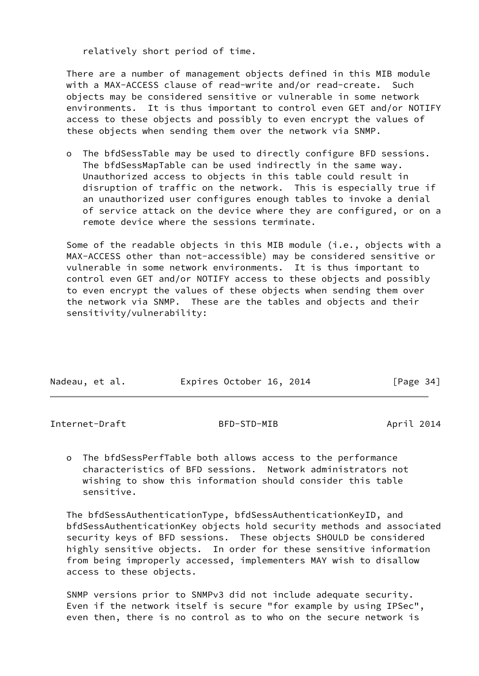relatively short period of time.

 There are a number of management objects defined in this MIB module with a MAX-ACCESS clause of read-write and/or read-create. Such objects may be considered sensitive or vulnerable in some network environments. It is thus important to control even GET and/or NOTIFY access to these objects and possibly to even encrypt the values of these objects when sending them over the network via SNMP.

 o The bfdSessTable may be used to directly configure BFD sessions. The bfdSessMapTable can be used indirectly in the same way. Unauthorized access to objects in this table could result in disruption of traffic on the network. This is especially true if an unauthorized user configures enough tables to invoke a denial of service attack on the device where they are configured, or on a remote device where the sessions terminate.

 Some of the readable objects in this MIB module (i.e., objects with a MAX-ACCESS other than not-accessible) may be considered sensitive or vulnerable in some network environments. It is thus important to control even GET and/or NOTIFY access to these objects and possibly to even encrypt the values of these objects when sending them over the network via SNMP. These are the tables and objects and their sensitivity/vulnerability:

| Nadeau, et al. | Expires October 16, 2014 | [Page 34] |
|----------------|--------------------------|-----------|

<span id="page-38-0"></span>Internet-Draft BFD-STD-MIB April 2014

- 
- o The bfdSessPerfTable both allows access to the performance characteristics of BFD sessions. Network administrators not wishing to show this information should consider this table sensitive.

 The bfdSessAuthenticationType, bfdSessAuthenticationKeyID, and bfdSessAuthenticationKey objects hold security methods and associated security keys of BFD sessions. These objects SHOULD be considered highly sensitive objects. In order for these sensitive information from being improperly accessed, implementers MAY wish to disallow access to these objects.

 SNMP versions prior to SNMPv3 did not include adequate security. Even if the network itself is secure "for example by using IPSec", even then, there is no control as to who on the secure network is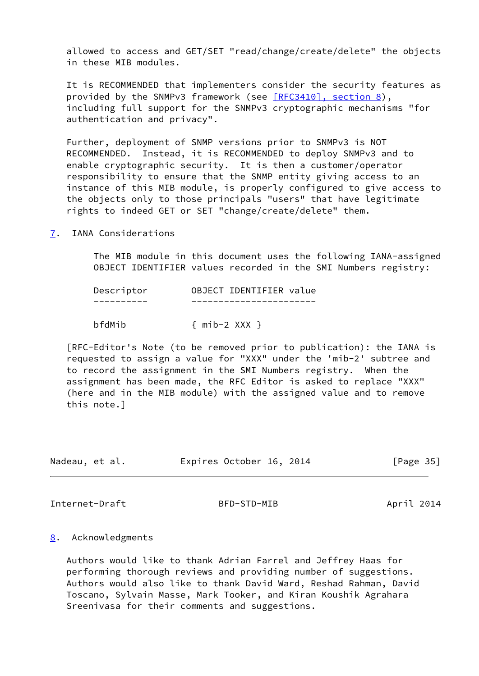allowed to access and GET/SET "read/change/create/delete" the objects in these MIB modules.

 It is RECOMMENDED that implementers consider the security features as provided by the SNMPv3 framework (see [\[RFC3410\], section](https://datatracker.ietf.org/doc/pdf/rfc3410#section-8) 8), including full support for the SNMPv3 cryptographic mechanisms "for authentication and privacy".

 Further, deployment of SNMP versions prior to SNMPv3 is NOT RECOMMENDED. Instead, it is RECOMMENDED to deploy SNMPv3 and to enable cryptographic security. It is then a customer/operator responsibility to ensure that the SNMP entity giving access to an instance of this MIB module, is properly configured to give access to the objects only to those principals "users" that have legitimate rights to indeed GET or SET "change/create/delete" them.

<span id="page-39-0"></span>[7](#page-39-0). IANA Considerations

 The MIB module in this document uses the following IANA-assigned OBJECT IDENTIFIER values recorded in the SMI Numbers registry:

| Descriptor | OBJECT IDENTIFIER value |  |
|------------|-------------------------|--|
|            |                         |  |
| bfdMib     | $\{$ mib-2 XXX $\}$     |  |

 [RFC-Editor's Note (to be removed prior to publication): the IANA is requested to assign a value for "XXX" under the 'mib-2' subtree and to record the assignment in the SMI Numbers registry. When the assignment has been made, the RFC Editor is asked to replace "XXX" (here and in the MIB module) with the assigned value and to remove this note.]

| Nadeau, et al. |  | Expires October 16, 2014 |  | [Page 35] |  |
|----------------|--|--------------------------|--|-----------|--|
|                |  |                          |  |           |  |

<span id="page-39-2"></span>Internet-Draft BFD-STD-MIB April 2014

# <span id="page-39-1"></span>[8](#page-39-1). Acknowledgments

 Authors would like to thank Adrian Farrel and Jeffrey Haas for performing thorough reviews and providing number of suggestions. Authors would also like to thank David Ward, Reshad Rahman, David Toscano, Sylvain Masse, Mark Tooker, and Kiran Koushik Agrahara Sreenivasa for their comments and suggestions.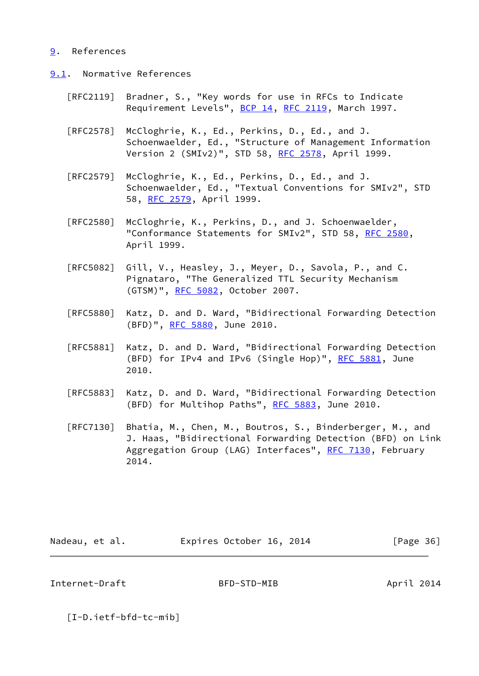## <span id="page-40-0"></span>[9](#page-40-0). References

- <span id="page-40-1"></span>[9.1](#page-40-1). Normative References
	- [RFC2119] Bradner, S., "Key words for use in RFCs to Indicate Requirement Levels", [BCP 14](https://datatracker.ietf.org/doc/pdf/bcp14), [RFC 2119](https://datatracker.ietf.org/doc/pdf/rfc2119), March 1997.
	- [RFC2578] McCloghrie, K., Ed., Perkins, D., Ed., and J. Schoenwaelder, Ed., "Structure of Management Information Version 2 (SMIv2)", STD 58, [RFC 2578,](https://datatracker.ietf.org/doc/pdf/rfc2578) April 1999.
	- [RFC2579] McCloghrie, K., Ed., Perkins, D., Ed., and J. Schoenwaelder, Ed., "Textual Conventions for SMIv2", STD 58, [RFC 2579,](https://datatracker.ietf.org/doc/pdf/rfc2579) April 1999.
	- [RFC2580] McCloghrie, K., Perkins, D., and J. Schoenwaelder, "Conformance Statements for SMIv2", STD 58, [RFC 2580,](https://datatracker.ietf.org/doc/pdf/rfc2580) April 1999.
	- [RFC5082] Gill, V., Heasley, J., Meyer, D., Savola, P., and C. Pignataro, "The Generalized TTL Security Mechanism (GTSM)", [RFC 5082,](https://datatracker.ietf.org/doc/pdf/rfc5082) October 2007.
	- [RFC5880] Katz, D. and D. Ward, "Bidirectional Forwarding Detection (BFD)", [RFC 5880,](https://datatracker.ietf.org/doc/pdf/rfc5880) June 2010.
	- [RFC5881] Katz, D. and D. Ward, "Bidirectional Forwarding Detection (BFD) for IPv4 and IPv6 (Single Hop)", [RFC 5881](https://datatracker.ietf.org/doc/pdf/rfc5881), June 2010.
	- [RFC5883] Katz, D. and D. Ward, "Bidirectional Forwarding Detection (BFD) for Multihop Paths", [RFC 5883](https://datatracker.ietf.org/doc/pdf/rfc5883), June 2010.
	- [RFC7130] Bhatia, M., Chen, M., Boutros, S., Binderberger, M., and J. Haas, "Bidirectional Forwarding Detection (BFD) on Link Aggregation Group (LAG) Interfaces", [RFC 7130](https://datatracker.ietf.org/doc/pdf/rfc7130), February 2014.

| Expires October 16, 2014<br>[Page 36]<br>Nadeau, et al. |  |
|---------------------------------------------------------|--|
|---------------------------------------------------------|--|

<span id="page-40-2"></span>Internet-Draft BFD-STD-MIB April 2014

<span id="page-40-3"></span>[I-D.ietf-bfd-tc-mib]